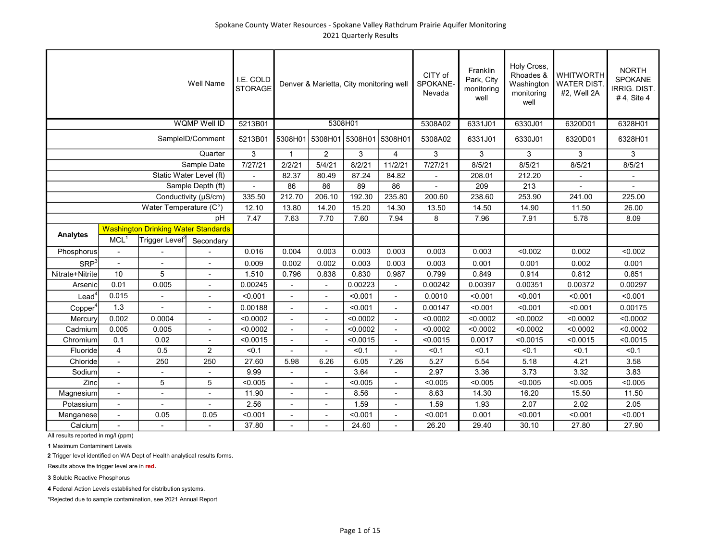## Spokane County Water Resources - Spokane Valley Rathdrum Prairie Aquifer Monitoring 2021 Quarterly Results

|                     |                          |                                            | Well Name               | I.E. COLD<br><b>STORAGE</b> |                | Denver & Marietta, City monitoring well |          |                | CITY of<br>SPOKANE-<br>Nevada | Franklin<br>Park, City<br>monitoring<br>well | Holy Cross,<br>Rhoades &<br>Washington<br>monitoring<br>well | <b>WHITWORTH</b><br><b>WATER DIST</b><br>#2, Well 2A | <b>NORTH</b><br>SPOKANE<br>IRRIG. DIST.<br>#4, Site 4 |
|---------------------|--------------------------|--------------------------------------------|-------------------------|-----------------------------|----------------|-----------------------------------------|----------|----------------|-------------------------------|----------------------------------------------|--------------------------------------------------------------|------------------------------------------------------|-------------------------------------------------------|
|                     |                          |                                            | WQMP Well ID            | 5213B01                     |                | 5308H01                                 |          |                | 5308A02                       | 6331J01                                      | 6330J01                                                      | 6320D01                                              | 6328H01                                               |
|                     |                          |                                            | SampleID/Comment        | 5213B01                     |                | 5308H01 5308H01 5308H01                 |          | 5308H01        | 5308A02                       | 6331J01                                      | 6330J01                                                      | 6320D01                                              | 6328H01                                               |
|                     |                          |                                            | Quarter                 | 3                           | $\mathbf{1}$   | $\overline{2}$                          | 3        | 4              | $\mathbf{3}$                  | 3                                            | 3                                                            | 3                                                    | $\mathbf{3}$                                          |
|                     |                          |                                            | Sample Date             | 7/27/21                     | 2/2/21         | 5/4/21                                  | 8/2/21   | 11/2/21        | 7/27/21                       | 8/5/21                                       | 8/5/21                                                       | 8/5/21                                               | 8/5/21                                                |
|                     |                          |                                            | Static Water Level (ft) | $\overline{a}$              | 82.37          | 80.49                                   | 87.24    | 84.82          |                               | 208.01                                       | 212.20                                                       |                                                      |                                                       |
|                     |                          |                                            | Sample Depth (ft)       |                             | 86             | 86                                      | 89       | 86             |                               | 209                                          | 213                                                          |                                                      |                                                       |
|                     |                          |                                            | Conductivity (µS/cm)    | 335.50                      | 212.70         | 206.10                                  | 192.30   | 235.80         | 200.60                        | 238.60                                       | 253.90                                                       | 241.00                                               | 225.00                                                |
|                     |                          | Water Temperature (C°)                     |                         | 12.10                       | 13.80          | 14.20                                   | 15.20    | 14.30          | 13.50                         | 14.50                                        | 14.90                                                        | 11.50                                                | 26.00                                                 |
|                     |                          |                                            | pH                      | 7.47                        | 7.63           | 7.70                                    | 7.60     | 7.94           | 8                             | 7.96                                         | 7.91                                                         | 5.78                                                 | 8.09                                                  |
| <b>Analytes</b>     |                          | <b>Washington Drinking Water Standards</b> |                         |                             |                |                                         |          |                |                               |                                              |                                                              |                                                      |                                                       |
|                     | MCL <sup>1</sup>         | Trigger Level <sup>2</sup>                 | Secondary               |                             |                |                                         |          |                |                               |                                              |                                                              |                                                      |                                                       |
| Phosphorus          |                          |                                            |                         | 0.016                       | 0.004          | 0.003                                   | 0.003    | 0.003          | 0.003                         | 0.003                                        | < 0.002                                                      | 0.002                                                | < 0.002                                               |
| SRP <sup>3</sup>    |                          |                                            |                         | 0.009                       | 0.002          | 0.002                                   | 0.003    | 0.003          | 0.003                         | 0.001                                        | 0.001                                                        | 0.002                                                | 0.001                                                 |
| Nitrate+Nitrite     | 10                       | 5                                          |                         | 1.510                       | 0.796          | 0.838                                   | 0.830    | 0.987          | 0.799                         | 0.849                                        | 0.914                                                        | 0.812                                                | 0.851                                                 |
| Arsenic             | 0.01                     | 0.005                                      | $\blacksquare$          | 0.00245                     |                |                                         | 0.00223  |                | 0.00242                       | 0.00397                                      | 0.00351                                                      | 0.00372                                              | 0.00297                                               |
| $\textsf{lead}^4$   | 0.015                    |                                            | $\blacksquare$          | < 0.001                     | $\blacksquare$ | $\sim$                                  | < 0.001  | $\sim$         | 0.0010                        | < 0.001                                      | < 0.001                                                      | < 0.001                                              | < 0.001                                               |
| Copper <sup>4</sup> | 1.3                      |                                            |                         | 0.00188                     |                |                                         | < 0.001  |                | 0.00147                       | < 0.001                                      | < 0.001                                                      | < 0.001                                              | 0.00175                                               |
| Mercury             | 0.002                    | 0.0004                                     |                         | < 0.0002                    | $\overline{a}$ | $\overline{a}$                          | < 0.0002 | $\sim$         | < 0.0002                      | < 0.0002                                     | < 0.0002                                                     | < 0.0002                                             | < 0.0002                                              |
| Cadmium             | 0.005                    | 0.005                                      |                         | < 0.0002                    | $\overline{a}$ | $\overline{\phantom{a}}$                | < 0.0002 | $\overline{a}$ | < 0.0002                      | < 0.0002                                     | < 0.0002                                                     | < 0.0002                                             | < 0.0002                                              |
| Chromium            | 0.1                      | 0.02                                       |                         | < 0.0015                    | $\overline{a}$ | $\overline{a}$                          | < 0.0015 | $\overline{a}$ | < 0.0015                      | 0.0017                                       | < 0.0015                                                     | < 0.0015                                             | < 0.0015                                              |
| Fluoride            | $\overline{4}$           | 0.5                                        | $\overline{2}$          | < 0.1                       |                | $\overline{a}$                          | < 0.1    |                | < 0.1                         | < 0.1                                        | < 0.1                                                        | < 0.1                                                | < 0.1                                                 |
| Chloride            |                          | 250                                        | 250                     | 27.60                       | 5.98           | 6.26                                    | 6.05     | 7.26           | 5.27                          | 5.54                                         | 5.18                                                         | 4.21                                                 | 3.58                                                  |
| Sodium              | $\overline{\phantom{a}}$ | $\overline{\phantom{a}}$                   |                         | 9.99                        |                |                                         | 3.64     |                | 2.97                          | 3.36                                         | 3.73                                                         | 3.32                                                 | 3.83                                                  |
| Zinc                | $\overline{\phantom{a}}$ | 5                                          | 5                       | < 0.005                     | ٠              | $\overline{\phantom{a}}$                | < 0.005  | $\blacksquare$ | < 0.005                       | < 0.005                                      | < 0.005                                                      | < 0.005                                              | < 0.005                                               |
| Magnesium           | $\overline{\phantom{a}}$ | $\blacksquare$                             | $\overline{a}$          | 11.90                       | $\overline{a}$ | $\blacksquare$                          | 8.56     | $\blacksquare$ | 8.63                          | 14.30                                        | 16.20                                                        | 15.50                                                | 11.50                                                 |
| Potassium           | $\blacksquare$           | $\sim$                                     | $\overline{a}$          | 2.56                        |                | $\overline{a}$                          | 1.59     | $\blacksquare$ | 1.59                          | 1.93                                         | 2.07                                                         | 2.02                                                 | 2.05                                                  |
| Manganese           | $\overline{\phantom{0}}$ | 0.05                                       | 0.05                    | < 0.001                     | $\overline{a}$ | $\overline{a}$                          | < 0.001  | $\blacksquare$ | < 0.001                       | 0.001                                        | < 0.001                                                      | < 0.001                                              | < 0.001                                               |
| Calcium             |                          |                                            |                         | 37.80                       |                |                                         | 24.60    |                | 26.20                         | 29.40                                        | 30.10                                                        | 27.80                                                | 27.90                                                 |

All results reported in mg/l (ppm)

1 Maximum Contaminent Levels

2 Trigger level identified on WA Dept of Health analytical results forms.

Results above the trigger level are in red.

3 Soluble Reactive Phosphorus

4 Federal Action Levels established for distribution systems.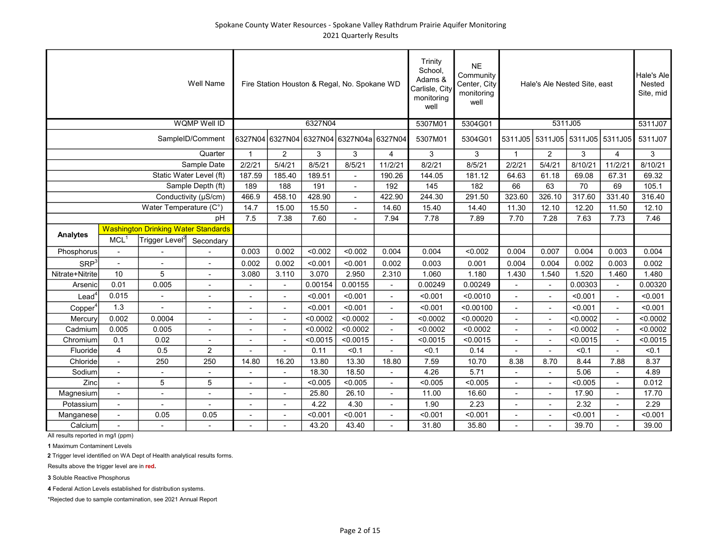|                     |                          |                                            | <b>Well Name</b>         |                          |                          |          | Fire Station Houston & Regal, No. Spokane WD |                | Trinity<br>School.<br>Adams &<br>Carlisle, City<br>monitoring<br>well | <b>NE</b><br>Community<br>Center, City<br>monitoring<br>well |                          | Hale's Ale Nested Site, east |                         |                          | Hale's Ale<br>Nested<br>Site, mid |
|---------------------|--------------------------|--------------------------------------------|--------------------------|--------------------------|--------------------------|----------|----------------------------------------------|----------------|-----------------------------------------------------------------------|--------------------------------------------------------------|--------------------------|------------------------------|-------------------------|--------------------------|-----------------------------------|
|                     |                          |                                            | <b>WQMP Well ID</b>      |                          |                          | 6327N04  |                                              |                | 5307M01                                                               | 5304G01                                                      |                          | 5311J05                      |                         |                          | 5311J07                           |
|                     |                          |                                            | SampleID/Comment         |                          | 6327N04 6327N04          |          | 6327N04 6327N04a 6327N04                     |                | 5307M01                                                               | 5304G01                                                      | 5311J05                  |                              | 5311J05 5311J05 5311J05 |                          | 5311J07                           |
|                     |                          |                                            | Quarter                  | $\overline{1}$           | $\overline{2}$           | 3        | 3                                            | $\overline{4}$ | 3                                                                     | 3                                                            | $\mathbf{1}$             | $\overline{2}$               | 3                       | $\overline{4}$           | 3                                 |
|                     |                          |                                            | Sample Date              | 2/2/21                   | 5/4/21                   | 8/5/21   | 8/5/21                                       | 11/2/21        | 8/2/21                                                                | 8/5/21                                                       | 2/2/21                   | 5/4/21                       | 8/10/21                 | 11/2/21                  | 8/10/21                           |
|                     |                          |                                            | Static Water Level (ft)  | 187.59                   | 185.40                   | 189.51   | $\blacksquare$                               | 190.26         | 144.05                                                                | 181.12                                                       | 64.63                    | 61.18                        | 69.08                   | 67.31                    | 69.32                             |
|                     |                          |                                            | Sample Depth (ft)        | 189                      | 188                      | 191      |                                              | 192            | 145                                                                   | 182                                                          | 66                       | 63                           | $\overline{70}$         | 69                       | 105.1                             |
|                     |                          |                                            | Conductivity (µS/cm)     | 466.9                    | 458.10                   | 428.90   |                                              | 422.90         | 244.30                                                                | 291.50                                                       | 323.60                   | 326.10                       | 317.60                  | 331.40                   | 316.40                            |
|                     |                          | Water Temperature (C°)                     |                          | 14.7                     | 15.00                    | 15.50    |                                              | 14.60          | 15.40                                                                 | 14.40                                                        | 11.30                    | 12.10                        | 12.20                   | 11.50                    | 12.10                             |
|                     |                          |                                            | pH                       | 7.5                      | 7.38                     | 7.60     |                                              | 7.94           | 7.78                                                                  | 7.89                                                         | 7.70                     | 7.28                         | 7.63                    | 7.73                     | 7.46                              |
| Analytes            |                          | <b>Washington Drinking Water Standards</b> |                          |                          |                          |          |                                              |                |                                                                       |                                                              |                          |                              |                         |                          |                                   |
|                     | MCL <sup>1</sup>         | Trigger Level <sup>2</sup>                 | Secondary                |                          |                          |          |                                              |                |                                                                       |                                                              |                          |                              |                         |                          |                                   |
| Phosphorus          | $\blacksquare$           |                                            |                          | 0.003                    | 0.002                    | < 0.002  | < 0.002                                      | 0.004          | 0.004                                                                 | < 0.002                                                      | 0.004                    | 0.007                        | 0.004                   | 0.003                    | 0.004                             |
| SRP <sup>3</sup>    | $\blacksquare$           |                                            |                          | 0.002                    | 0.002                    | < 0.001  | < 0.001                                      | 0.002          | 0.003                                                                 | 0.001                                                        | 0.004                    | 0.004                        | 0.002                   | 0.003                    | 0.002                             |
| Nitrate+Nitrite     | 10                       | 5                                          |                          | 3.080                    | 3.110                    | 3.070    | 2.950                                        | 2.310          | 1.060                                                                 | 1.180                                                        | 1.430                    | 1.540                        | 1.520                   | 1.460                    | 1.480                             |
| Arsenic             | 0.01                     | 0.005                                      |                          |                          |                          | 0.00154  | 0.00155                                      |                | 0.00249                                                               | 0.00249                                                      |                          | $\overline{\phantom{a}}$     | 0.00303                 |                          | 0.00320                           |
| $\text{Lead}^4$     | 0.015                    | $\blacksquare$                             | $\overline{a}$           | $\overline{\phantom{a}}$ | $\blacksquare$           | < 0.001  | < 0.001                                      | $\blacksquare$ | < 0.001                                                               | < 0.0010                                                     | $\blacksquare$           | $\blacksquare$               | < 0.001                 | $\blacksquare$           | < 0.001                           |
| Copper <sup>4</sup> | 1.3                      |                                            | $\overline{a}$           |                          | $\blacksquare$           | < 0.001  | < 0.001                                      | $\sim$         | < 0.001                                                               | < 0.00100                                                    | $\blacksquare$           | $\blacksquare$               | < 0.001                 | $\blacksquare$           | < 0.001                           |
| Mercury             | 0.002                    | 0.0004                                     | $\overline{a}$           | ٠                        | $\blacksquare$           | < 0.0002 | < 0.0002                                     | $\overline{a}$ | < 0.0002                                                              | < 0.00020                                                    | $\blacksquare$           | $\blacksquare$               | < 0.0002                | $\blacksquare$           | < 0.0002                          |
| Cadmium             | 0.005                    | 0.005                                      | $\overline{\phantom{a}}$ | ٠                        | $\overline{\phantom{a}}$ | < 0.0002 | < 0.0002                                     | $\overline{a}$ | < 0.0002                                                              | < 0.0002                                                     |                          | $\overline{\phantom{a}}$     | < 0.0002                | $\overline{\phantom{a}}$ | < 0.0002                          |
| Chromium            | 0.1                      | 0.02                                       |                          |                          | $\overline{a}$           | < 0.0015 | < 0.0015                                     | $\overline{a}$ | < 0.0015                                                              | < 0.0015                                                     | $\overline{\phantom{a}}$ | $\overline{\phantom{a}}$     | < 0.0015                | $\overline{a}$           | < 0.0015                          |
| Fluoride            | $\overline{\mathbf{4}}$  | 0.5                                        | $\overline{2}$           |                          |                          | 0.11     | < 0.1                                        | $\blacksquare$ | < 0.1                                                                 | 0.14                                                         |                          |                              | < 0.1                   | $\blacksquare$           | < 0.1                             |
| Chloride            | $\overline{\phantom{a}}$ | 250                                        | 250                      | 14.80                    | 16.20                    | 13.80    | 13.30                                        | 18.80          | 7.59                                                                  | 10.70                                                        | 8.38                     | 8.70                         | 8.44                    | 7.88                     | 8.37                              |
| Sodium              | $\blacksquare$           | $\overline{\phantom{a}}$                   | $\overline{\phantom{a}}$ | $\overline{\phantom{0}}$ | $\blacksquare$           | 18.30    | 18.50                                        |                | 4.26                                                                  | 5.71                                                         | $\blacksquare$           |                              | 5.06                    | $\blacksquare$           | 4.89                              |
| Zinc                | $\overline{\phantom{a}}$ | 5                                          | 5                        | $\blacksquare$           | $\blacksquare$           | < 0.005  | < 0.005                                      | $\sim$         | < 0.005                                                               | < 0.005                                                      | $\blacksquare$           | $\blacksquare$               | < 0.005                 | $\overline{\phantom{a}}$ | 0.012                             |
| Magnesium           | $\overline{\phantom{a}}$ | L,                                         | $\overline{a}$           | $\overline{a}$           | $\overline{\phantom{a}}$ | 25.80    | 26.10                                        | $\blacksquare$ | 11.00                                                                 | 16.60                                                        | $\sim$                   | $\blacksquare$               | 17.90                   | $\blacksquare$           | 17.70                             |
| Potassium           | $\overline{a}$           |                                            | ÷,                       |                          | $\overline{a}$           | 4.22     | 4.30                                         | $\sim$         | 1.90                                                                  | 2.23                                                         | $\blacksquare$           | $\overline{\phantom{a}}$     | 2.32                    | ÷,                       | 2.29                              |
| Manganese           | $\overline{\phantom{a}}$ | 0.05                                       | 0.05                     | ٠                        |                          | < 0.001  | < 0.001                                      | $\overline{a}$ | < 0.001                                                               | < 0.001                                                      |                          |                              | < 0.001                 | $\blacksquare$           | < 0.001                           |
| Calcium             |                          |                                            | $\mathbf{r}$             |                          |                          | 43.20    | 43.40                                        |                | 31.80                                                                 | 35.80                                                        |                          |                              | 39.70                   |                          | 39.00                             |

1 Maximum Contaminent Levels

2 Trigger level identified on WA Dept of Health analytical results forms.

Results above the trigger level are in red.

3 Soluble Reactive Phosphorus

4 Federal Action Levels established for distribution systems.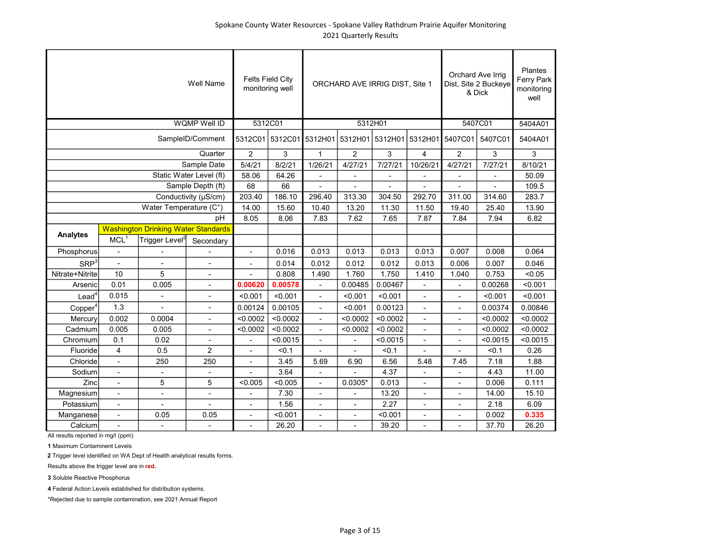|                     |                          |                                            | <b>Well Name</b>         |                          | <b>Felts Field City</b><br>monitoring well |                          | ORCHARD AVE IRRIG DIST, Site 1 |                 |                |                          | Orchard Ave Irrig<br>Dist, Site 2 Buckeye<br>& Dick | Plantes<br>Ferry Park<br>monitoring<br>well |
|---------------------|--------------------------|--------------------------------------------|--------------------------|--------------------------|--------------------------------------------|--------------------------|--------------------------------|-----------------|----------------|--------------------------|-----------------------------------------------------|---------------------------------------------|
|                     |                          |                                            | <b>WQMP Well ID</b>      |                          | 5312C01                                    |                          |                                | 5312H01         |                |                          | 5407C01                                             | 5404A01                                     |
|                     |                          |                                            | SampleID/Comment         |                          | 5312C01 5312C01 5312H01                    |                          | 5312H01                        | 5312H01 5312H01 |                | 5407C01                  | 5407C01                                             | 5404A01                                     |
|                     |                          |                                            | Quarter                  | $\overline{2}$           | 3                                          | $\mathbf{1}$             | $\overline{2}$                 | 3               | $\overline{4}$ | $\overline{2}$           | 3                                                   | 3                                           |
|                     |                          |                                            | Sample Date              | 5/4/21                   | 8/2/21                                     | 1/26/21                  | 4/27/21                        | 7/27/21         | 10/26/21       | 4/27/21                  | 7/27/21                                             | 8/10/21                                     |
|                     |                          |                                            | Static Water Level (ft)  | 58.06                    | 64.26                                      | $\overline{a}$           | $\overline{\phantom{a}}$       |                 |                |                          |                                                     | 50.09                                       |
|                     |                          |                                            | Sample Depth (ft)        | 68                       | 66                                         |                          |                                |                 |                |                          |                                                     | 109.5                                       |
|                     |                          |                                            | Conductivity (µS/cm)     | 203.40                   | 186.10                                     | 296.40                   | 313.30                         | 304.50          | 292.70         | 311.00                   | 314.60                                              | 283.7                                       |
|                     |                          | Water Temperature (C°)                     |                          | 14.00                    | 15.60                                      | 10.40                    | 13.20                          | 11.30           | 11.50          | 19.40                    | 25.40                                               | 13.90                                       |
|                     |                          |                                            | pH                       | 8.05                     | 8.06                                       | 7.83                     | 7.62                           | 7.65            | 7.87           | 7.84                     | 7.94                                                | 6.82                                        |
| <b>Analytes</b>     |                          | <b>Washington Drinking Water Standards</b> |                          |                          |                                            |                          |                                |                 |                |                          |                                                     |                                             |
|                     | MCL <sup>1</sup>         | Trigger Level <sup>2</sup>                 | Secondary                |                          |                                            |                          |                                |                 |                |                          |                                                     |                                             |
| Phosphorus          | $\overline{\phantom{a}}$ |                                            |                          | $\blacksquare$           | 0.016                                      | 0.013                    | 0.013                          | 0.013           | 0.013          | 0.007                    | 0.008                                               | 0.064                                       |
| SRP <sup>3</sup>    | $\overline{a}$           |                                            |                          |                          | 0.014                                      | 0.012                    | 0.012                          | 0.012           | 0.013          | 0.006                    | 0.007                                               | 0.046                                       |
| Nitrate+Nitrite     | 10                       | 5                                          |                          |                          | 0.808                                      | 1.490                    | 1.760                          | 1.750           | 1.410          | 1.040                    | 0.753                                               | < 0.05                                      |
| Arsenic             | 0.01                     | 0.005                                      | $\overline{\phantom{a}}$ | 0.00620                  | 0.00578                                    |                          | 0.00485                        | 0.00467         |                | $\overline{a}$           | 0.00268                                             | < 0.001                                     |
| $\text{Lead}^4$     | 0.015                    | $\blacksquare$                             | $\overline{\phantom{a}}$ | < 0.001                  | < 0.001                                    | $\blacksquare$           | < 0.001                        | < 0.001         | L,             | $\blacksquare$           | < 0.001                                             | < 0.001                                     |
| Copper <sup>4</sup> | 1.3                      |                                            | $\blacksquare$           | 0.00124                  | 0.00105                                    | $\overline{\phantom{a}}$ | < 0.001                        | 0.00123         | ÷,             | $\overline{a}$           | 0.00374                                             | 0.00846                                     |
| Mercury             | 0.002                    | 0.0004                                     | ÷,                       | < 0.0002                 | < 0.0002                                   | $\overline{\phantom{a}}$ | < 0.0002                       | < 0.0002        | L,             | ä,                       | < 0.0002                                            | < 0.0002                                    |
| Cadmium             | 0.005                    | 0.005                                      | $\overline{a}$           | < 0.0002                 | < 0.0002                                   | $\blacksquare$           | < 0.0002                       | < 0.0002        |                | $\overline{a}$           | < 0.0002                                            | < 0.0002                                    |
| Chromium            | 0.1                      | 0.02                                       |                          |                          | < 0.0015                                   | $\overline{a}$           |                                | < 0.0015        |                |                          | < 0.0015                                            | < 0.0015                                    |
| Fluoride            | 4                        | 0.5                                        | 2                        |                          | < 0.1                                      |                          |                                | < 0.1           |                |                          | < 0.1                                               | 0.26                                        |
| Chloride            | $\overline{\phantom{a}}$ | 250                                        | 250                      | $\overline{\phantom{a}}$ | 3.45                                       | 5.69                     | 6.90                           | 6.56            | 5.48           | 7.45                     | 7.18                                                | 1.88                                        |
| Sodium              | $\overline{\phantom{a}}$ | $\blacksquare$                             | $\blacksquare$           |                          | 3.64                                       | $\overline{a}$           |                                | 4.37            | $\blacksquare$ | $\overline{\phantom{a}}$ | 4.43                                                | 11.00                                       |
| Zinc                | $\blacksquare$           | 5                                          | 5                        | < 0.005                  | < 0.005                                    | $\blacksquare$           | $0.0305*$                      | 0.013           | ä,             | $\overline{\phantom{a}}$ | 0.006                                               | 0.111                                       |
| Magnesium           | $\overline{\phantom{a}}$ | $\overline{\phantom{a}}$                   |                          |                          | 7.30                                       | $\blacksquare$           |                                | 13.20           | L,             | $\overline{\phantom{a}}$ | 14.00                                               | 15.10                                       |
| Potassium           | $\blacksquare$           |                                            |                          | L,                       | 1.56                                       | $\overline{\phantom{a}}$ | ÷,                             | 2.27            | L,             | $\blacksquare$           | 2.18                                                | 6.09                                        |
| Manganese           | $\overline{\phantom{a}}$ | 0.05                                       | 0.05                     | $\blacksquare$           | < 0.001                                    | $\blacksquare$           | L,                             | < 0.001         | $\overline{a}$ | $\blacksquare$           | 0.002                                               | 0.335                                       |
| Calcium             | ÷,                       |                                            |                          |                          | 26.20                                      | $\overline{a}$           | $\blacksquare$                 | 39.20           |                |                          | 37.70                                               | 26.20                                       |

1 Maximum Contaminent Levels

2 Trigger level identified on WA Dept of Health analytical results forms.

Results above the trigger level are in red.

3 Soluble Reactive Phosphorus

4 Federal Action Levels established for distribution systems.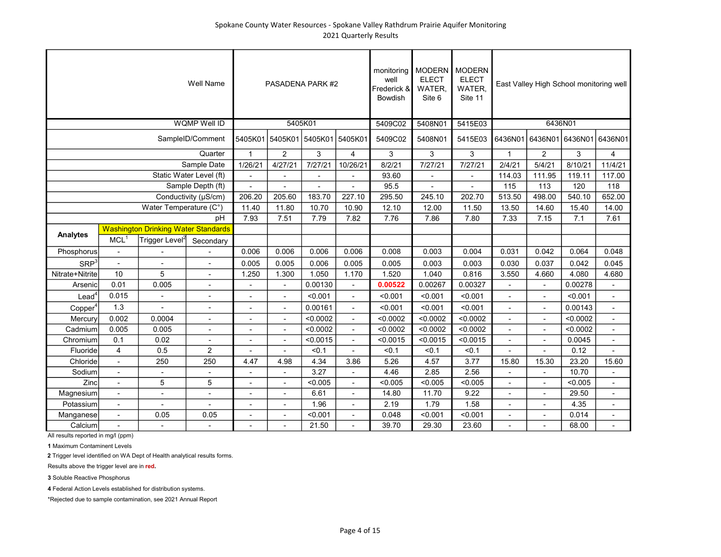|                     |                          |                                            | Well Name                |                          |                          | PASADENA PARK #2                |                | monitoring<br>well<br>Frederick &<br>Bowdish | <b>MODERN</b><br><b>ELECT</b><br>WATER,<br>Site 6 | <b>MODERN</b><br><b>ELECT</b><br>WATER,<br>Site 11 |                |                          | East Valley High School monitoring well |                          |
|---------------------|--------------------------|--------------------------------------------|--------------------------|--------------------------|--------------------------|---------------------------------|----------------|----------------------------------------------|---------------------------------------------------|----------------------------------------------------|----------------|--------------------------|-----------------------------------------|--------------------------|
|                     |                          |                                            | <b>WQMP Well ID</b>      |                          |                          | 5405K01                         |                | 5409C02                                      | 5408N01                                           | 5415E03                                            |                |                          | 6436N01                                 |                          |
|                     |                          |                                            | SampleID/Comment         |                          |                          | 5405K01 5405K01 5405K01 5405K01 |                | 5409C02                                      | 5408N01                                           | 5415E03                                            |                |                          | 6436N01 6436N01 6436N01 6436N01         |                          |
|                     |                          |                                            | Quarter                  | $\mathbf{1}$             | $\overline{2}$           | 3                               | $\overline{4}$ | 3                                            | 3                                                 | 3                                                  | $\mathbf{1}$   | $\overline{2}$           | 3                                       | 4                        |
|                     |                          |                                            | Sample Date              | 1/26/21                  | 4/27/21                  | 7/27/21                         | 10/26/21       | 8/2/21                                       | 7/27/21                                           | 7/27/21                                            | 2/4/21         | 5/4/21                   | 8/10/21                                 | 11/4/21                  |
|                     |                          |                                            | Static Water Level (ft)  |                          |                          |                                 |                | 93.60                                        |                                                   |                                                    | 114.03         | 111.95                   | 119.11                                  | 117.00                   |
|                     |                          |                                            | Sample Depth (ft)        |                          |                          |                                 |                | 95.5                                         |                                                   |                                                    | 115            | 113                      | 120                                     | 118                      |
|                     |                          |                                            | Conductivity (µS/cm)     | 206.20                   | 205.60                   | 183.70                          | 227.10         | 295.50                                       | 245.10                                            | 202.70                                             | 513.50         | 498.00                   | 540.10                                  | 652.00                   |
|                     |                          | Water Temperature (C°)                     |                          | 11.40                    | 11.80                    | 10.70                           | 10.90          | 12.10                                        | 12.00                                             | 11.50                                              | 13.50          | 14.60                    | 15.40                                   | 14.00                    |
|                     |                          |                                            | pH                       | 7.93                     | 7.51                     | 7.79                            | 7.82           | 7.76                                         | 7.86                                              | 7.80                                               | 7.33           | 7.15                     | 7.1                                     | 7.61                     |
| Analytes            |                          | <b>Washington Drinking Water Standards</b> |                          |                          |                          |                                 |                |                                              |                                                   |                                                    |                |                          |                                         |                          |
|                     | MCL <sup>1</sup>         | Trigger Level <sup>2</sup>                 | Secondary                |                          |                          |                                 |                |                                              |                                                   |                                                    |                |                          |                                         |                          |
| Phosphorus          | $\mathbf{r}$             |                                            |                          | 0.006                    | 0.006                    | 0.006                           | 0.006          | 0.008                                        | 0.003                                             | 0.004                                              | 0.031          | 0.042                    | 0.064                                   | 0.048                    |
| SRP <sup>3</sup>    | $\overline{a}$           |                                            |                          | 0.005                    | 0.005                    | 0.006                           | 0.005          | 0.005                                        | 0.003                                             | 0.003                                              | 0.030          | 0.037                    | 0.042                                   | 0.045                    |
| Nitrate+Nitrite     | 10                       | 5                                          |                          | 1.250                    | 1.300                    | 1.050                           | 1.170          | 1.520                                        | 1.040                                             | 0.816                                              | 3.550          | 4.660                    | 4.080                                   | 4.680                    |
| Arsenic             | 0.01                     | 0.005                                      | $\overline{\phantom{a}}$ |                          | $\blacksquare$           | 0.00130                         | $\blacksquare$ | 0.00522                                      | 0.00267                                           | 0.00327                                            |                | $\overline{\phantom{a}}$ | 0.00278                                 | $\overline{\phantom{a}}$ |
| Lead <sup>4</sup>   | 0.015                    | L,                                         | $\blacksquare$           | $\blacksquare$           | $\overline{\phantom{a}}$ | < 0.001                         | $\blacksquare$ | < 0.001                                      | < 0.001                                           | < 0.001                                            |                | $\blacksquare$           | < 0.001                                 | $\blacksquare$           |
| Copper <sup>4</sup> | 1.3                      |                                            |                          | $\overline{\phantom{a}}$ | $\blacksquare$           | 0.00161                         | $\blacksquare$ | < 0.001                                      | < 0.001                                           | < 0.001                                            | $\blacksquare$ | $\blacksquare$           | 0.00143                                 | $\overline{\phantom{a}}$ |
| Mercury             | 0.002                    | 0.0004                                     | $\overline{\phantom{a}}$ | $\overline{\phantom{a}}$ | $\overline{\phantom{a}}$ | < 0.0002                        | $\blacksquare$ | < 0.0002                                     | < 0.0002                                          | < 0.0002                                           | $\overline{a}$ | $\overline{a}$           | < 0.0002                                |                          |
| Cadmium             | 0.005                    | 0.005                                      |                          |                          | $\overline{a}$           | < 0.0002                        | $\mathbf{r}$   | < 0.0002                                     | < 0.0002                                          | < 0.0002                                           |                | $\overline{a}$           | < 0.0002                                | $\overline{a}$           |
| Chromium            | 0.1                      | 0.02                                       |                          |                          |                          | < 0.0015                        |                | < 0.0015                                     | < 0.0015                                          | < 0.0015                                           |                |                          | 0.0045                                  |                          |
| Fluoride            | 4                        | 0.5                                        | 2                        |                          |                          | < 0.1                           |                | < 0.1                                        | < 0.1                                             | < 0.1                                              |                |                          | 0.12                                    |                          |
| Chloride            | $\overline{\phantom{a}}$ | 250                                        | 250                      | 4.47                     | 4.98                     | 4.34                            | 3.86           | 5.26                                         | 4.57                                              | 3.77                                               | 15.80          | 15.30                    | 23.20                                   | 15.60                    |
| Sodium              | $\blacksquare$           | $\overline{\phantom{a}}$                   | $\overline{\phantom{a}}$ | $\overline{\phantom{a}}$ | $\blacksquare$           | 3.27                            | $\blacksquare$ | 4.46                                         | 2.85                                              | 2.56                                               |                | $\overline{\phantom{a}}$ | 10.70                                   | $\overline{\phantom{a}}$ |
| Zinc                | $\overline{\phantom{a}}$ | 5                                          | 5                        | $\overline{\phantom{a}}$ | $\blacksquare$           | < 0.005                         | $\blacksquare$ | < 0.005                                      | < 0.005                                           | < 0.005                                            | $\blacksquare$ | $\blacksquare$           | < 0.005                                 | $\overline{\phantom{a}}$ |
| Magnesium           | $\mathbf{r}$             | ä,                                         |                          | $\blacksquare$           | ÷,                       | 6.61                            | ÷.             | 14.80                                        | 11.70                                             | 9.22                                               |                | $\blacksquare$           | 29.50                                   | $\blacksquare$           |
| Potassium           | $\mathbf{r}$             |                                            |                          |                          | $\overline{a}$           | 1.96                            | $\overline{a}$ | 2.19                                         | 1.79                                              | 1.58                                               | $\overline{a}$ | $\overline{\phantom{a}}$ | 4.35                                    |                          |
| Manganese           | $\blacksquare$           | 0.05                                       | 0.05                     | $\blacksquare$           | ä,                       | < 0.001                         | ÷.             | 0.048                                        | < 0.001                                           | < 0.001                                            |                | $\blacksquare$           | 0.014                                   |                          |
| Calcium             |                          |                                            |                          |                          | ٠                        | 21.50                           |                | 39.70                                        | 29.30                                             | 23.60                                              |                | ٠                        | 68.00                                   |                          |

1 Maximum Contaminent Levels

2 Trigger level identified on WA Dept of Health analytical results forms.

Results above the trigger level are in red.

3 Soluble Reactive Phosphorus

4 Federal Action Levels established for distribution systems.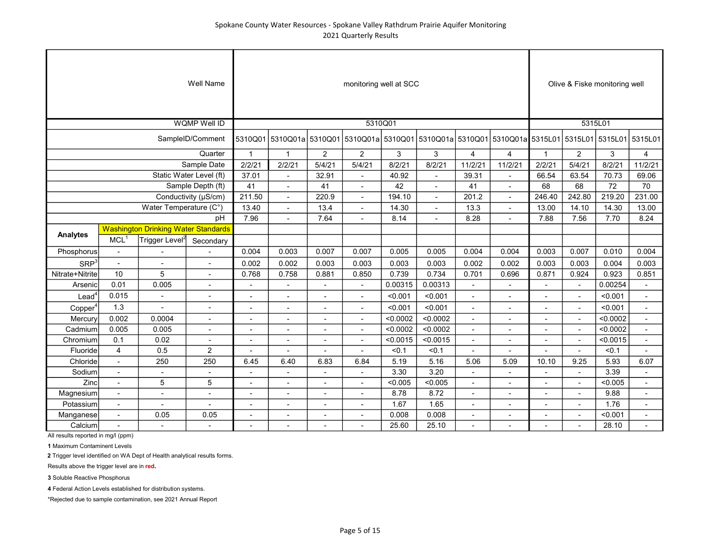|                     |                          |                                            | <b>Well Name</b>         |                          |                          |                          | monitoring well at SCC                                                              |          |                |                          |                          |                |                          | Olive & Fiske monitoring well |                          |
|---------------------|--------------------------|--------------------------------------------|--------------------------|--------------------------|--------------------------|--------------------------|-------------------------------------------------------------------------------------|----------|----------------|--------------------------|--------------------------|----------------|--------------------------|-------------------------------|--------------------------|
|                     |                          |                                            | <b>WOMP Well ID</b>      |                          |                          |                          | 5310Q01                                                                             |          |                |                          |                          |                |                          | 5315L01                       |                          |
|                     |                          |                                            | SampleID/Comment         |                          |                          |                          | 5310Q01 5310Q01a 5310Q01 5310Q01a 5310Q01 5310Q01a 5310Q01 5310Q01a 5315L01 5315L01 |          |                |                          |                          |                |                          | 5315L01 5315L01               |                          |
|                     |                          |                                            | Quarter                  | $\mathbf{1}$             | $\mathbf{1}$             | 2                        | $\overline{2}$                                                                      | 3        | 3              | $\overline{4}$           | $\overline{4}$           | $\mathbf{1}$   | $\overline{c}$           | 3                             | $\overline{4}$           |
|                     |                          |                                            | Sample Date              | 2/2/21                   | 2/2/21                   | 5/4/21                   | 5/4/21                                                                              | 8/2/21   | 8/2/21         | 11/2/21                  | 11/2/21                  | 2/2/21         | 5/4/21                   | 8/2/21                        | 11/2/21                  |
|                     |                          |                                            | Static Water Level (ft)  | 37.01                    | $\overline{a}$           | 32.91                    | $\overline{a}$                                                                      | 40.92    | $\overline{a}$ | 39.31                    | $\overline{a}$           | 66.54          | 63.54                    | 70.73                         | 69.06                    |
|                     |                          |                                            | Sample Depth (ft)        | 41                       |                          | 41                       | $\blacksquare$                                                                      | 42       |                | 41                       | $\blacksquare$           | 68             | 68                       | 72                            | 70                       |
|                     |                          |                                            | Conductivity (µS/cm)     | 211.50                   |                          | 220.9                    |                                                                                     | 194.10   |                | 201.2                    |                          | 246.40         | 242.80                   | 219.20                        | 231.00                   |
|                     |                          | Water Temperature (C°)                     |                          | 13.40                    | ä,                       | 13.4                     | $\overline{\phantom{a}}$                                                            | 14.30    |                | 13.3                     | $\overline{\phantom{a}}$ | 13.00          | 14.10                    | 14.30                         | 13.00                    |
|                     |                          |                                            | pH                       | 7.96                     |                          | 7.64                     | $\overline{\phantom{a}}$                                                            | 8.14     |                | 8.28                     | $\blacksquare$           | 7.88           | 7.56                     | 7.70                          | 8.24                     |
| Analytes            |                          | <b>Washington Drinking Water Standards</b> |                          |                          |                          |                          |                                                                                     |          |                |                          |                          |                |                          |                               |                          |
|                     | MCL <sup>1</sup>         | Trigger Level <sup>2</sup>                 | Secondary                |                          |                          |                          |                                                                                     |          |                |                          |                          |                |                          |                               |                          |
| Phosphorus          | $\blacksquare$           |                                            |                          | 0.004                    | 0.003                    | 0.007                    | 0.007                                                                               | 0.005    | 0.005          | 0.004                    | 0.004                    | 0.003          | 0.007                    | 0.010                         | 0.004                    |
| SRP <sup>3</sup>    | Ĭ.                       |                                            |                          | 0.002                    | 0.002                    | 0.003                    | 0.003                                                                               | 0.003    | 0.003          | 0.002                    | 0.002                    | 0.003          | 0.003                    | 0.004                         | 0.003                    |
| Nitrate+Nitrite     | 10                       | 5                                          |                          | 0.768                    | 0.758                    | 0.881                    | 0.850                                                                               | 0.739    | 0.734          | 0.701                    | 0.696                    | 0.871          | 0.924                    | 0.923                         | 0.851                    |
| Arsenic             | 0.01                     | 0.005                                      | $\overline{\phantom{a}}$ | $\overline{\phantom{a}}$ | $\overline{\phantom{a}}$ | $\overline{\phantom{a}}$ | $\overline{\phantom{a}}$                                                            | 0.00315  | 0.00313        | $\overline{\phantom{a}}$ | $\overline{\phantom{a}}$ | $\blacksquare$ | $\blacksquare$           | 0.00254                       | $\overline{\phantom{a}}$ |
| $\text{Lead}^4$     | 0.015                    | $\blacksquare$                             | $\overline{\phantom{a}}$ | $\blacksquare$           | $\blacksquare$           | $\blacksquare$           | $\blacksquare$                                                                      | < 0.001  | < 0.001        | ÷,                       | $\overline{\phantom{a}}$ |                | $\sim$                   | < 0.001                       | $\blacksquare$           |
| Copper <sup>4</sup> | 1.3                      | $\overline{\phantom{a}}$                   | ÷,                       | $\sim$                   | $\blacksquare$           | $\sim$                   | $\blacksquare$                                                                      | < 0.001  | < 0.001        | $\blacksquare$           | $\blacksquare$           | $\blacksquare$ | $\blacksquare$           | < 0.001                       | $\blacksquare$           |
| Mercury             | 0.002                    | 0.0004                                     | $\blacksquare$           | ٠                        | $\blacksquare$           | ٠                        | $\blacksquare$                                                                      | < 0.0002 | < 0.0002       | $\blacksquare$           | $\blacksquare$           |                | $\overline{\phantom{a}}$ | < 0.0002                      | $\blacksquare$           |
| Cadmium             | 0.005                    | 0.005                                      |                          | $\overline{a}$           | $\overline{a}$           | $\blacksquare$           | $\overline{a}$                                                                      | < 0.0002 | < 0.0002       | $\overline{a}$           | $\overline{\phantom{a}}$ |                |                          | < 0.0002                      |                          |
| Chromium            | 0.1                      | 0.02                                       |                          |                          |                          |                          |                                                                                     | < 0.0015 | < 0.0015       |                          | $\overline{a}$           |                | $\overline{\phantom{a}}$ | < 0.0015                      |                          |
| Fluoride            | $\overline{4}$           | 0.5                                        | $\overline{2}$           |                          |                          |                          |                                                                                     | < 0.1    | < 0.1          |                          |                          |                |                          | < 0.1                         |                          |
| Chloride            | $\overline{\phantom{a}}$ | 250                                        | 250                      | 6.45                     | 6.40                     | 6.83                     | 6.84                                                                                | 5.19     | 5.16           | 5.06                     | 5.09                     | 10.10          | 9.25                     | 5.93                          | 6.07                     |
| Sodium              | $\blacksquare$           | $\overline{\phantom{a}}$                   | $\blacksquare$           | $\blacksquare$           | $\blacksquare$           | $\blacksquare$           | $\overline{\phantom{a}}$                                                            | 3.30     | 3.20           | ٠                        | $\overline{\phantom{a}}$ |                | $\overline{\phantom{a}}$ | 3.39                          | $\blacksquare$           |
| Zinc                | $\blacksquare$           | 5                                          | 5                        | ٠                        | $\blacksquare$           | $\blacksquare$           | $\overline{\phantom{a}}$                                                            | < 0.005  | < 0.005        | ٠                        | $\overline{\phantom{a}}$ |                | $\overline{\phantom{a}}$ | < 0.005                       | $\overline{\phantom{a}}$ |
| Magnesium           | $\blacksquare$           | $\overline{\phantom{a}}$                   | L,                       | $\blacksquare$           | $\blacksquare$           | $\blacksquare$           | $\blacksquare$                                                                      | 8.78     | 8.72           | L,                       | $\blacksquare$           |                | $\overline{a}$           | 9.88                          | $\blacksquare$           |
| Potassium           | $\sim$                   | $\blacksquare$                             |                          | $\overline{a}$           | $\blacksquare$           | $\overline{a}$           | ٠                                                                                   | 1.67     | 1.65           | Ĭ.                       | $\blacksquare$           |                |                          | 1.76                          |                          |
| Manganese           | $\sim$                   | 0.05                                       | 0.05                     | $\overline{a}$           | $\blacksquare$           | $\overline{a}$           | $\overline{a}$                                                                      | 0.008    | 0.008          | $\overline{a}$           | $\overline{a}$           |                |                          | < 0.001                       |                          |
| Calcium             |                          |                                            |                          |                          |                          |                          |                                                                                     | 25.60    | 25.10          |                          |                          |                |                          | 28.10                         |                          |

1 Maximum Contaminent Levels

2 Trigger level identified on WA Dept of Health analytical results forms.

Results above the trigger level are in red.

3 Soluble Reactive Phosphorus

4 Federal Action Levels established for distribution systems.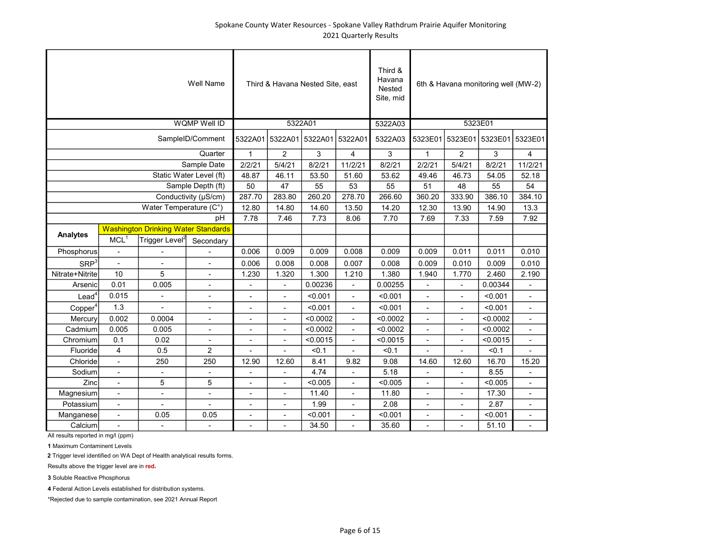|                     |                          |                                            | <b>Well Name</b>         |                              | Third & Havana Nested Site, east |          |                          | Third &<br>Havana<br>Nested<br>Site, mid |                          |                          | 6th & Havana monitoring well (MW-2) |                          |
|---------------------|--------------------------|--------------------------------------------|--------------------------|------------------------------|----------------------------------|----------|--------------------------|------------------------------------------|--------------------------|--------------------------|-------------------------------------|--------------------------|
|                     |                          |                                            | <b>WQMP Well ID</b>      |                              | 5322A01                          |          |                          | 5322A03                                  |                          | 5323E01                  |                                     |                          |
|                     |                          |                                            | SampleID/Comment         |                              | 5322A01 5322A01 5322A01 5322A01  |          |                          | 5322A03                                  | 5323E01                  |                          | 5323E01 5323E01 5323E01             |                          |
|                     |                          |                                            | Quarter                  | $\mathbf{1}$                 | $\overline{2}$                   | 3        | 4                        | 3                                        | $\mathbf{1}$             | $\overline{2}$           | 3                                   | 4                        |
|                     |                          |                                            | Sample Date              | 2/2/21                       | 5/4/21                           | 8/2/21   | 11/2/21                  | 8/2/21                                   | 2/2/21                   | 5/4/21                   | 8/2/21                              | 11/2/21                  |
|                     |                          |                                            | Static Water Level (ft)  | 48.87                        | 46.11                            | 53.50    | 51.60                    | 53.62                                    | 49.46                    | 46.73                    | 54.05                               | 52.18                    |
|                     |                          |                                            | Sample Depth (ft)        | 50                           | 47                               | 55       | 53                       | 55                                       | 51                       | 48                       | 55                                  | 54                       |
|                     |                          |                                            | Conductivity (µS/cm)     | 287.70                       | 283.80                           | 260.20   | 278.70                   | 266.60                                   | 360.20                   | 333.90                   | 386.10                              | 384.10                   |
|                     |                          | Water Temperature (C°)                     |                          | 12.80                        | 14.80                            | 14.60    | 13.50                    | 14.20                                    | 12.30                    | 13.90                    | 14.90                               | 13.3                     |
|                     |                          |                                            | pH                       | 7.78                         | 7.46                             | 7.73     | 8.06                     | 7.70                                     | 7.69                     | 7.33                     | 7.59                                | 7.92                     |
| <b>Analytes</b>     |                          | <b>Washington Drinking Water Standards</b> |                          |                              |                                  |          |                          |                                          |                          |                          |                                     |                          |
|                     | MCL <sup>1</sup>         | Trigger Level <sup>2</sup>                 | Secondary                |                              |                                  |          |                          |                                          |                          |                          |                                     |                          |
| Phosphorus          | $\overline{\phantom{a}}$ |                                            |                          | 0.006                        | 0.009                            | 0.009    | 0.008                    | 0.009                                    | 0.009                    | 0.011                    | 0.011                               | 0.010                    |
| SRP <sup>3</sup>    | $\overline{a}$           |                                            | Ĭ.                       | 0.006                        | 0.008                            | 0.008    | 0.007                    | 0.008                                    | 0.009                    | 0.010                    | 0.009                               | 0.010                    |
| Nitrate+Nitrite     | 10                       | 5                                          | $\overline{\phantom{a}}$ | 1.230                        | 1.320                            | 1.300    | 1.210                    | 1.380                                    | 1.940                    | 1.770                    | 2.460                               | 2.190                    |
| Arsenic             | 0.01                     | 0.005                                      | $\overline{\phantom{a}}$ | $\qquad \qquad \blacksquare$ | Ĭ.                               | 0.00236  | Ĭ.                       | 0.00255                                  | $\overline{\phantom{a}}$ | $\overline{\phantom{a}}$ | 0.00344                             | $\overline{\phantom{a}}$ |
| $\text{Lead}^4$     | 0.015                    | ä,                                         | $\overline{\phantom{a}}$ | $\overline{\phantom{a}}$     | $\blacksquare$                   | < 0.001  | $\overline{a}$           | < 0.001                                  | $\overline{\phantom{a}}$ | $\overline{\phantom{a}}$ | < 0.001                             | $\blacksquare$           |
| Copper <sup>4</sup> | 1.3                      |                                            | ÷,                       | $\blacksquare$               | L,                               | < 0.001  | $\overline{a}$           | < 0.001                                  | $\overline{a}$           | $\overline{a}$           | < 0.001                             | $\blacksquare$           |
| Mercury             | 0.002                    | 0.0004                                     | ٠                        | $\blacksquare$               | $\overline{a}$                   | < 0.0002 | $\overline{a}$           | < 0.0002                                 | $\overline{a}$           | $\overline{a}$           | < 0.0002                            | $\blacksquare$           |
| Cadmium             | 0.005                    | 0.005                                      | $\overline{\phantom{0}}$ |                              |                                  | < 0.0002 |                          | < 0.0002                                 |                          |                          | < 0.0002                            | L,                       |
| Chromium            | 0.1                      | 0.02                                       | $\overline{\phantom{m}}$ |                              |                                  | < 0.0015 |                          | < 0.0015                                 |                          |                          | < 0.0015                            |                          |
| Fluoride            | 4                        | 0.5                                        | $\overline{2}$           |                              |                                  | < 0.1    |                          | < 0.1                                    |                          |                          | < 0.1                               |                          |
| Chloride            | $\overline{\phantom{a}}$ | 250                                        | 250                      | 12.90                        | 12.60                            | 8.41     | 9.82                     | 9.08                                     | 14.60                    | 12.60                    | 16.70                               | 15.20                    |
| Sodium              | $\overline{\phantom{a}}$ | $\blacksquare$                             | $\blacksquare$           | Ĭ.                           | Ĭ.                               | 4.74     | ÷,                       | 5.18                                     | $\blacksquare$           | ä,                       | 8.55                                | $\blacksquare$           |
| Zinc                | $\overline{\phantom{a}}$ | 5                                          | 5                        | $\overline{\phantom{a}}$     | $\overline{a}$                   | < 0.005  | $\overline{a}$           | < 0.005                                  | $\overline{a}$           | ٠                        | < 0.005                             | $\blacksquare$           |
| Magnesium           | $\overline{\phantom{a}}$ | $\overline{\phantom{a}}$                   | $\overline{\phantom{a}}$ | $\overline{\phantom{a}}$     | ÷,                               | 11.40    | $\overline{\phantom{a}}$ | 11.80                                    | $\overline{\phantom{a}}$ |                          | 17.30                               | $\overline{\phantom{a}}$ |
| Potassium           | $\overline{\phantom{a}}$ |                                            |                          | $\overline{\phantom{a}}$     | ä,                               | 1.99     | $\blacksquare$           | 2.08                                     | ÷,                       |                          | 2.87                                | $\overline{\phantom{a}}$ |
| Manganese           | $\sim$                   | 0.05                                       | 0.05                     | $\overline{a}$               | $\overline{a}$                   | < 0.001  | $\overline{a}$           | < 0.001                                  | $\overline{a}$           | $\overline{a}$           | < 0.001                             | $\blacksquare$           |
| Calcium             | $\overline{\phantom{a}}$ | $\overline{a}$                             | Ē,                       |                              |                                  | 34.50    |                          | 35.60                                    |                          |                          | 51.10                               | $\overline{\phantom{a}}$ |

1 Maximum Contaminent Levels

2 Trigger level identified on WA Dept of Health analytical results forms.

Results above the trigger level are in red.

3 Soluble Reactive Phosphorus

4 Federal Action Levels established for distribution systems.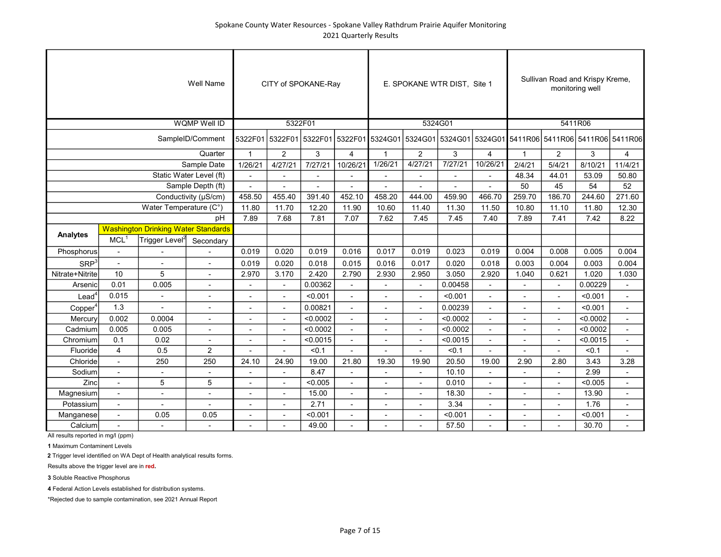|                     |                          |                                            | <b>Well Name</b>         |                |                          | CITY of SPOKANE-Ray |                          |                                                                                                         | E. SPOKANE WTR DIST, Site 1 |          |                          |                          |                          | Sullivan Road and Krispy Kreme,<br>monitoring well |                          |
|---------------------|--------------------------|--------------------------------------------|--------------------------|----------------|--------------------------|---------------------|--------------------------|---------------------------------------------------------------------------------------------------------|-----------------------------|----------|--------------------------|--------------------------|--------------------------|----------------------------------------------------|--------------------------|
|                     |                          |                                            | <b>WQMP Well ID</b>      |                | 5322F01                  |                     |                          |                                                                                                         |                             | 5324G01  |                          |                          |                          | 5411R06                                            |                          |
|                     |                          |                                            | SampleID/Comment         |                |                          |                     |                          | 5322F01 5322F01 5322F01 5322F01 5324G01 5324G01 5324G01 5324G01 5424G01 5411R06 5411R06 5411R06 5411R06 |                             |          |                          |                          |                          |                                                    |                          |
|                     |                          |                                            | Quarter                  | $\mathbf{1}$   | 2                        | 3                   | 4                        | $\mathbf{1}$                                                                                            | $\overline{2}$              | 3        | $\overline{4}$           | $\overline{1}$           | $\overline{2}$           | 3                                                  | 4                        |
|                     |                          |                                            | Sample Date              | 1/26/21        | 4/27/21                  | 7/27/21             | 10/26/21                 | 1/26/21                                                                                                 | 4/27/21                     | 7/27/21  | 10/26/21                 | 2/4/21                   | 5/4/21                   | 8/10/21                                            | 11/4/21                  |
|                     |                          |                                            | Static Water Level (ft)  |                |                          |                     |                          | $\overline{a}$                                                                                          | $\overline{a}$              |          | $\overline{\phantom{a}}$ | 48.34                    | 44.01                    | 53.09                                              | 50.80                    |
|                     |                          |                                            | Sample Depth (ft)        |                |                          |                     |                          |                                                                                                         |                             |          |                          | 50                       | 45                       | 54                                                 | 52                       |
|                     |                          |                                            | Conductivity (µS/cm)     | 458.50         | 455.40                   | 391.40              | 452.10                   | 458.20                                                                                                  | 444.00                      | 459.90   | 466.70                   | 259.70                   | 186.70                   | 244.60                                             | 271.60                   |
|                     |                          | Water Temperature (C°)                     |                          | 11.80          | 11.70                    | 12.20               | 11.90                    | 10.60                                                                                                   | 11.40                       | 11.30    | 11.50                    | 10.80                    | 11.10                    | 11.80                                              | 12.30                    |
|                     |                          |                                            | pH                       | 7.89           | 7.68                     | 7.81                | 7.07                     | 7.62                                                                                                    | 7.45                        | 7.45     | 7.40                     | 7.89                     | 7.41                     | 7.42                                               | 8.22                     |
| Analytes            |                          | <b>Washington Drinking Water Standards</b> |                          |                |                          |                     |                          |                                                                                                         |                             |          |                          |                          |                          |                                                    |                          |
|                     | MCL <sup>1</sup>         | Trigger Level <sup>2</sup>                 | Secondary                |                |                          |                     |                          |                                                                                                         |                             |          |                          |                          |                          |                                                    |                          |
| Phosphorus          | $\overline{\phantom{a}}$ |                                            |                          | 0.019          | 0.020                    | 0.019               | 0.016                    | 0.017                                                                                                   | 0.019                       | 0.023    | 0.019                    | 0.004                    | 0.008                    | 0.005                                              | 0.004                    |
| SRP <sup>3</sup>    | $\mathbf{r}$             |                                            |                          | 0.019          | 0.020                    | 0.018               | 0.015                    | 0.016                                                                                                   | 0.017                       | 0.020    | 0.018                    | 0.003                    | 0.004                    | 0.003                                              | 0.004                    |
| Nitrate+Nitrite     | 10                       | 5                                          |                          | 2.970          | 3.170                    | 2.420               | 2.790                    | 2.930                                                                                                   | 2.950                       | 3.050    | 2.920                    | 1.040                    | 0.621                    | 1.020                                              | 1.030                    |
| Arsenic             | 0.01                     | 0.005                                      |                          |                |                          | 0.00362             |                          |                                                                                                         | L,                          | 0.00458  |                          |                          |                          | 0.00229                                            |                          |
| Lead <sup>4</sup>   | 0.015                    | $\blacksquare$                             | $\overline{\phantom{a}}$ | $\overline{a}$ | $\blacksquare$           | < 0.001             | $\blacksquare$           | $\blacksquare$                                                                                          | ۰                           | < 0.001  | L,                       |                          | $\blacksquare$           | < 0.001                                            | $\blacksquare$           |
| Copper <sup>4</sup> | 1.3                      |                                            |                          | $\blacksquare$ | $\overline{\phantom{a}}$ | 0.00821             | $\overline{\phantom{a}}$ | $\overline{\phantom{a}}$                                                                                | $\overline{\phantom{a}}$    | 0.00239  | $\blacksquare$           | ٠                        | $\blacksquare$           | < 0.001                                            | $\overline{\phantom{a}}$ |
| Mercury             | 0.002                    | 0.0004                                     | $\overline{\phantom{a}}$ | $\overline{a}$ | $\overline{a}$           | < 0.0002            | $\blacksquare$           | $\overline{\phantom{a}}$                                                                                | $\blacksquare$              | < 0.0002 | ÷,                       | $\blacksquare$           | $\blacksquare$           | < 0.0002                                           | $\blacksquare$           |
| Cadmium             | 0.005                    | 0.005                                      | $\overline{a}$           | $\overline{a}$ | $\overline{\phantom{a}}$ | < 0.0002            | $\mathbf{r}$             | $\overline{\phantom{a}}$                                                                                | ÷.                          | < 0.0002 | $\overline{a}$           |                          | $\overline{a}$           | < 0.0002                                           | $\overline{\phantom{a}}$ |
| Chromium            | 0.1                      | 0.02                                       |                          | L.             | $\overline{a}$           | < 0.0015            | $\mathbf{r}$             | $\overline{\phantom{a}}$                                                                                | ÷.                          | < 0.0015 | $\overline{a}$           |                          | $\overline{a}$           | < 0.0015                                           | $\overline{a}$           |
| Fluoride            | 4                        | 0.5                                        | $\overline{2}$           |                |                          | < 0.1               | $\overline{a}$           |                                                                                                         |                             | < 0.1    |                          |                          |                          | < 0.1                                              |                          |
| Chloride            |                          | 250                                        | 250                      | 24.10          | 24.90                    | 19.00               | 21.80                    | 19.30                                                                                                   | 19.90                       | 20.50    | 19.00                    | 2.90                     | 2.80                     | 3.43                                               | 3.28                     |
| Sodium              | $\overline{\phantom{a}}$ | $\blacksquare$                             | $\overline{\phantom{a}}$ |                |                          | 8.47                |                          | $\overline{a}$                                                                                          | $\overline{\phantom{a}}$    | 10.10    |                          | $\overline{\phantom{a}}$ | $\overline{\phantom{a}}$ | 2.99                                               | $\overline{\phantom{a}}$ |
| Zinc                | $\blacksquare$           | 5                                          | 5                        | Ĭ.             | $\blacksquare$           | < 0.005             | $\blacksquare$           | $\overline{a}$                                                                                          | $\overline{\phantom{a}}$    | 0.010    | ÷,                       | $\overline{\phantom{a}}$ | $\overline{\phantom{a}}$ | < 0.005                                            | $\overline{\phantom{a}}$ |
| Magnesium           | $\blacksquare$           | $\blacksquare$                             | $\blacksquare$           | $\overline{a}$ | $\overline{a}$           | 15.00               | $\blacksquare$           | $\overline{\phantom{a}}$                                                                                | ٠                           | 18.30    | $\overline{a}$           |                          | $\blacksquare$           | 13.90                                              | $\blacksquare$           |
| Potassium           | $\sim$                   | $\overline{a}$                             |                          | $\overline{a}$ | $\overline{a}$           | 2.71                | $\mathbf{r}$             | $\overline{a}$                                                                                          | ٠                           | 3.34     | $\overline{a}$           |                          | $\overline{a}$           | 1.76                                               | $\overline{a}$           |
| Manganese           | $\sim$                   | 0.05                                       | 0.05                     | $\overline{a}$ |                          | < 0.001             | $\mathbf{r}$             | $\overline{a}$                                                                                          | ÷,                          | < 0.001  | L.                       |                          | $\overline{a}$           | < 0.001                                            | $\overline{a}$           |
| Calcium             |                          |                                            |                          |                |                          | 49.00               |                          |                                                                                                         |                             | 57.50    |                          |                          |                          | 30.70                                              |                          |

1 Maximum Contaminent Levels

2 Trigger level identified on WA Dept of Health analytical results forms.

Results above the trigger level are in red.

3 Soluble Reactive Phosphorus

4 Federal Action Levels established for distribution systems.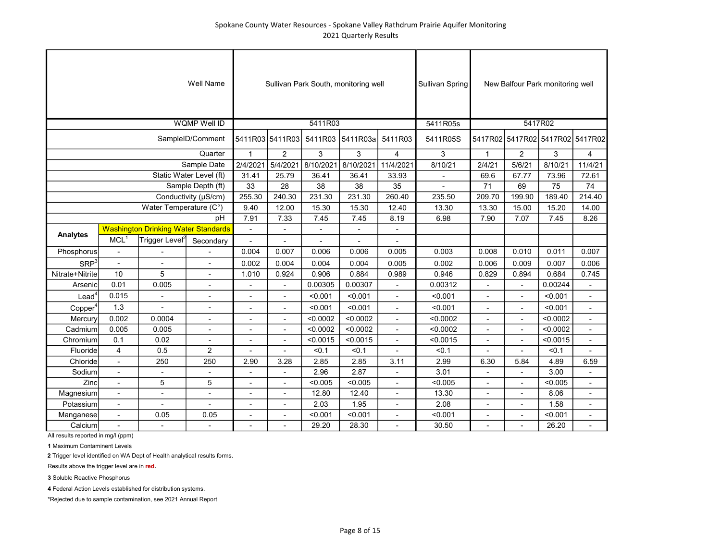|                     |                          |                                            | Well Name                |                          |                          |                          | Sullivan Park South, monitoring well |                         | <b>Sullivan Spring</b> |                |                          | New Balfour Park monitoring well |                          |
|---------------------|--------------------------|--------------------------------------------|--------------------------|--------------------------|--------------------------|--------------------------|--------------------------------------|-------------------------|------------------------|----------------|--------------------------|----------------------------------|--------------------------|
|                     |                          |                                            | WQMP Well ID             |                          |                          | 5411R03                  |                                      |                         | 5411R05s               |                |                          | 5417R02                          |                          |
|                     |                          |                                            | SampleID/Comment         |                          | 5411R03 5411R03          | 5411R03                  | 5411R03a                             | 5411R03                 | 5411R05S               |                |                          | 5417R02 5417R02 5417R02 5417R02  |                          |
|                     |                          |                                            | Quarter                  | $\overline{1}$           | $\overline{2}$           | 3                        | 3                                    | $\overline{\mathbf{4}}$ | 3                      | $\overline{1}$ | $\overline{2}$           | 3                                | 4                        |
|                     |                          |                                            | Sample Date              | 2/4/2021                 | 5/4/2021                 | 8/10/2021                | 8/10/2021                            | 11/4/2021               | 8/10/21                | 2/4/21         | 5/6/21                   | 8/10/21                          | 11/4/21                  |
|                     |                          |                                            | Static Water Level (ft)  | 31.41                    | 25.79                    | 36.41                    | 36.41                                | 33.93                   |                        | 69.6           | 67.77                    | 73.96                            | 72.61                    |
|                     |                          |                                            | Sample Depth (ft)        | 33                       | 28                       | 38                       | 38                                   | 35                      |                        | 71             | 69                       | 75                               | 74                       |
|                     |                          |                                            | Conductivity (µS/cm)     | 255.30                   | 240.30                   | 231.30                   | 231.30                               | 260.40                  | 235.50                 | 209.70         | 199.90                   | 189.40                           | 214.40                   |
|                     |                          | Water Temperature (C°)                     |                          | 9.40                     | 12.00                    | 15.30                    | 15.30                                | 12.40                   | 13.30                  | 13.30          | 15.00                    | 15.20                            | 14.00                    |
|                     |                          |                                            | pH                       | 7.91                     | 7.33                     | 7.45                     | 7.45                                 | 8.19                    | 6.98                   | 7.90           | 7.07                     | 7.45                             | 8.26                     |
| <b>Analytes</b>     |                          | <b>Washington Drinking Water Standards</b> |                          |                          |                          | $\overline{\phantom{a}}$ |                                      |                         |                        |                |                          |                                  |                          |
|                     | MCL <sup>1</sup>         | Trigger Level <sup>2</sup>                 | Secondary                | $\bar{\phantom{a}}$      | ÷,                       | L,                       |                                      |                         |                        |                |                          |                                  |                          |
| Phosphorus          | $\blacksquare$           |                                            |                          | 0.004                    | 0.007                    | 0.006                    | 0.006                                | 0.005                   | 0.003                  | 0.008          | 0.010                    | 0.011                            | 0.007                    |
| SRP <sup>3</sup>    | $\overline{\phantom{a}}$ | $\blacksquare$                             | $\blacksquare$           | 0.002                    | 0.004                    | 0.004                    | 0.004                                | 0.005                   | 0.002                  | 0.006          | 0.009                    | 0.007                            | 0.006                    |
| Nitrate+Nitrite     | 10                       | 5                                          | ÷,                       | 1.010                    | 0.924                    | 0.906                    | 0.884                                | 0.989                   | 0.946                  | 0.829          | 0.894                    | 0.684                            | 0.745                    |
| Arsenic             | 0.01                     | 0.005                                      |                          |                          |                          | 0.00305                  | 0.00307                              |                         | 0.00312                |                |                          | 0.00244                          |                          |
| Lead <sup>4</sup>   | 0.015                    | $\overline{a}$                             | $\overline{a}$           | $\overline{\phantom{a}}$ | $\overline{\phantom{a}}$ | < 0.001                  | < 0.001                              | $\blacksquare$          | < 0.001                | $\blacksquare$ | $\blacksquare$           | < 0.001                          | $\overline{\phantom{a}}$ |
| Copper <sup>4</sup> | 1.3                      | ÷,                                         | ÷                        | $\blacksquare$           | $\overline{a}$           | < 0.001                  | < 0.001                              | ÷,                      | < 0.001                | $\blacksquare$ | $\overline{\phantom{a}}$ | < 0.001                          | ÷,                       |
| Mercury             | 0.002                    | 0.0004                                     | $\blacksquare$           | $\blacksquare$           | $\blacksquare$           | < 0.0002                 | < 0.0002                             | $\blacksquare$          | < 0.0002               | $\blacksquare$ | $\blacksquare$           | < 0.0002                         | $\overline{\phantom{a}}$ |
| Cadmium             | 0.005                    | 0.005                                      |                          | $\overline{a}$           | $\overline{a}$           | < 0.0002                 | < 0.0002                             | $\overline{a}$          | < 0.0002               | $\overline{a}$ | $\overline{a}$           | < 0.0002                         | $\overline{\phantom{a}}$ |
| Chromium            | 0.1                      | 0.02                                       |                          | $\overline{\phantom{a}}$ | $\overline{a}$           | < 0.0015                 | < 0.0015                             |                         | < 0.0015               | $\blacksquare$ |                          | < 0.0015                         | $\blacksquare$           |
| Fluoride            | 4                        | 0.5                                        | $\overline{2}$           | $\overline{\phantom{a}}$ |                          | < 0.1                    | < 0.1                                |                         | < 0.1                  |                |                          | < 0.1                            |                          |
| Chloride            |                          | 250                                        | 250                      | 2.90                     | 3.28                     | 2.85                     | 2.85                                 | 3.11                    | 2.99                   | 6.30           | 5.84                     | 4.89                             | 6.59                     |
| Sodium              | $\blacksquare$           | $\overline{\phantom{a}}$                   | $\overline{\phantom{a}}$ | $\overline{\phantom{a}}$ |                          | 2.96                     | 2.87                                 |                         | 3.01                   |                |                          | 3.00                             |                          |
| Zinc                | $\overline{\phantom{a}}$ | 5                                          | 5                        | $\overline{\phantom{a}}$ | $\overline{\phantom{a}}$ | < 0.005                  | < 0.005                              | $\blacksquare$          | < 0.005                | $\blacksquare$ | $\blacksquare$           | < 0.005                          | $\overline{\phantom{a}}$ |
| Magnesium           | $\overline{\phantom{a}}$ | $\blacksquare$                             | $\overline{\phantom{a}}$ | $\overline{\phantom{a}}$ | $\overline{\phantom{a}}$ | 12.80                    | 12.40                                | $\blacksquare$          | 13.30                  | ٠              | $\blacksquare$           | 8.06                             | $\overline{\phantom{a}}$ |
| Potassium           | ÷,                       | ÷,                                         | ÷,                       | $\overline{\phantom{a}}$ | ä,                       | 2.03                     | 1.95                                 | ä,                      | 2.08                   | $\blacksquare$ |                          | 1.58                             | ÷,                       |
| Manganese           | $\overline{a}$           | 0.05                                       | 0.05                     | $\overline{\phantom{a}}$ |                          | < 0.001                  | < 0.001                              | $\overline{a}$          | < 0.001                |                |                          | < 0.001                          | $\overline{\phantom{a}}$ |
| Calcium             |                          |                                            |                          |                          |                          | 29.20                    | 28.30                                |                         | 30.50                  |                |                          | 26.20                            |                          |

1 Maximum Contaminent Levels

2 Trigger level identified on WA Dept of Health analytical results forms.

Results above the trigger level are in red.

3 Soluble Reactive Phosphorus

4 Federal Action Levels established for distribution systems.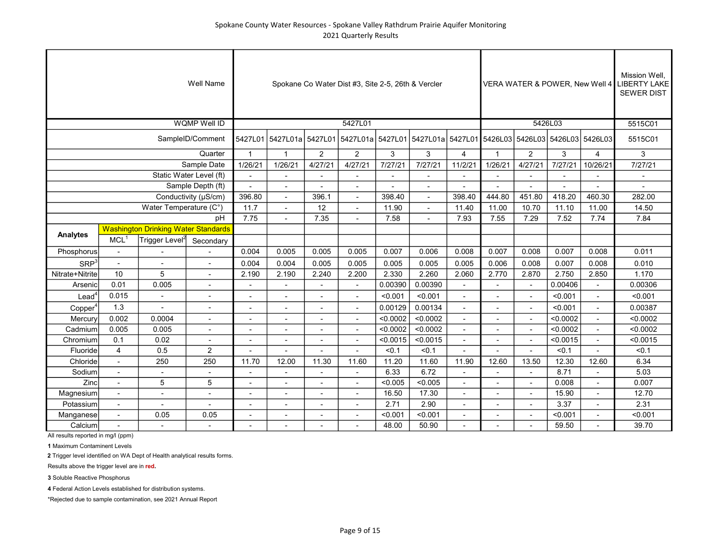|                     |                          |                                            | Well Name               |                          |                                                                                             |                          | Spokane Co Water Dist #3, Site 2-5, 26th & Vercler |                |          |                          |                |                          |          |                          | Mission Well.<br>VERA WATER & POWER, New Well 4 LIBERTY LAKE<br><b>SEWER DIST</b> |
|---------------------|--------------------------|--------------------------------------------|-------------------------|--------------------------|---------------------------------------------------------------------------------------------|--------------------------|----------------------------------------------------|----------------|----------|--------------------------|----------------|--------------------------|----------|--------------------------|-----------------------------------------------------------------------------------|
|                     |                          |                                            | <b>WQMP Well ID</b>     |                          |                                                                                             |                          | 5427L01                                            |                |          |                          |                |                          | 5426L03  |                          | 5515C01                                                                           |
|                     |                          |                                            | SampleID/Comment        | 5427L01                  | 5427L01a 5427L01 5427L01a 5427L01 5427L01a 5427L01a 5427L01 5426L03 5426L03 5426L03 5426L03 |                          |                                                    |                |          |                          |                |                          |          |                          | 5515C01                                                                           |
|                     |                          |                                            | Quarter                 | $\overline{1}$           | $\overline{1}$                                                                              | $\overline{2}$           | $\overline{2}$                                     | 3              | 3        | 4                        | $\mathbf 1$    | $\overline{2}$           | 3        | 4                        | 3                                                                                 |
|                     |                          |                                            | Sample Date             | 1/26/21                  | 1/26/21                                                                                     | 4/27/21                  | 4/27/21                                            | 7/27/21        | 7/27/21  | 11/2/21                  | 1/26/21        | 4/27/21                  | 7/27/21  | 10/26/21                 | 7/27/21                                                                           |
|                     |                          |                                            | Static Water Level (ft) | $\blacksquare$           | $\blacksquare$                                                                              |                          | $\blacksquare$                                     | $\blacksquare$ |          |                          |                |                          |          |                          |                                                                                   |
|                     |                          |                                            | Sample Depth (ft)       |                          | $\overline{a}$                                                                              |                          |                                                    |                |          |                          |                |                          |          |                          |                                                                                   |
|                     |                          |                                            | Conductivity (µS/cm)    | 396.80                   | $\blacksquare$                                                                              | 396.1                    |                                                    | 398.40         |          | 398.40                   | 444.80         | 451.80                   | 418.20   | 460.30                   | 282.00                                                                            |
|                     |                          | Water Temperature (C°)                     |                         | 11.7                     |                                                                                             | 12                       |                                                    | 11.90          |          | 11.40                    | 11.00          | 10.70                    | 11.10    | 11.00                    | 14.50                                                                             |
|                     |                          |                                            | pH                      | 7.75                     |                                                                                             | 7.35                     |                                                    | 7.58           |          | 7.93                     | 7.55           | 7.29                     | 7.52     | 7.74                     | 7.84                                                                              |
| <b>Analytes</b>     |                          | <b>Washington Drinking Water Standards</b> |                         |                          |                                                                                             |                          |                                                    |                |          |                          |                |                          |          |                          |                                                                                   |
|                     | MCL <sup>1</sup>         | Trigger Level <sup>2</sup>                 | Secondary               |                          |                                                                                             |                          |                                                    |                |          |                          |                |                          |          |                          |                                                                                   |
| Phosphorus          | $\overline{\phantom{a}}$ |                                            |                         | 0.004                    | 0.005                                                                                       | 0.005                    | 0.005                                              | 0.007          | 0.006    | 0.008                    | 0.007          | 0.008                    | 0.007    | 0.008                    | 0.011                                                                             |
| SRP <sup>3</sup>    | $\overline{a}$           | $\overline{a}$                             | L.                      | 0.004                    | 0.004                                                                                       | 0.005                    | 0.005                                              | 0.005          | 0.005    | 0.005                    | 0.006          | 0.008                    | 0.007    | 0.008                    | 0.010                                                                             |
| Nitrate+Nitrite     | 10                       | 5                                          | L.                      | 2.190                    | 2.190                                                                                       | 2.240                    | 2.200                                              | 2.330          | 2.260    | 2.060                    | 2.770          | 2.870                    | 2.750    | 2.850                    | 1.170                                                                             |
| Arsenic             | 0.01                     | 0.005                                      |                         |                          |                                                                                             |                          |                                                    | 0.00390        | 0.00390  |                          |                |                          | 0.00406  |                          | 0.00306                                                                           |
| $\text{Lead}^4$     | 0.015                    | $\overline{\phantom{a}}$                   | $\blacksquare$          | $\overline{\phantom{a}}$ | $\overline{\phantom{a}}$                                                                    | $\overline{\phantom{a}}$ | $\overline{\phantom{a}}$                           | < 0.001        | < 0.001  | $\blacksquare$           | $\blacksquare$ | $\sim$                   | < 0.001  | $\sim$                   | < 0.001                                                                           |
| Copper <sup>4</sup> | 1.3                      | $\blacksquare$                             | ä,                      | $\blacksquare$           | $\overline{\phantom{a}}$                                                                    |                          | $\sim$                                             | 0.00129        | 0.00134  | $\blacksquare$           |                |                          | < 0.001  |                          | 0.00387                                                                           |
| Mercury             | 0.002                    | 0.0004                                     | $\blacksquare$          | $\overline{\phantom{a}}$ | $\blacksquare$                                                                              | $\blacksquare$           | $\blacksquare$                                     | < 0.0002       | < 0.0002 | $\overline{\phantom{a}}$ | $\sim$         | $\sim$                   | < 0.0002 | $\overline{\phantom{a}}$ | < 0.0002                                                                          |
| Cadmium             | 0.005                    | 0.005                                      | $\overline{a}$          | ٠                        | $\blacksquare$                                                                              |                          | $\blacksquare$                                     | < 0.0002       | < 0.0002 | $\blacksquare$           |                |                          | < 0.0002 |                          | < 0.0002                                                                          |
| Chromium            | 0.1                      | 0.02                                       | L.                      | $\overline{a}$           | $\overline{a}$                                                                              |                          | $\overline{a}$                                     | < 0.0015       | < 0.0015 |                          |                |                          | < 0.0015 |                          | < 0.0015                                                                          |
| Fluoride            | $\overline{4}$           | 0.5                                        | $\overline{2}$          |                          |                                                                                             |                          |                                                    | < 0.1          | < 0.1    |                          |                |                          | < 0.1    |                          | 50.1                                                                              |
| Chloride            | $\overline{a}$           | 250                                        | 250                     | 11.70                    | 12.00                                                                                       | 11.30                    | 11.60                                              | 11.20          | 11.60    | 11.90                    | 12.60          | 13.50                    | 12.30    | 12.60                    | 6.34                                                                              |
| Sodium              | $\overline{\phantom{a}}$ |                                            | $\blacksquare$          |                          |                                                                                             |                          |                                                    | 6.33           | 6.72     |                          |                |                          | 8.71     |                          | 5.03                                                                              |
| Zinc                | $\blacksquare$           | 5                                          | 5                       |                          | $\overline{\phantom{a}}$                                                                    |                          |                                                    | < 0.005        | < 0.005  |                          |                |                          | 0.008    |                          | 0.007                                                                             |
| Magnesium           | $\overline{\phantom{a}}$ | $\blacksquare$                             | $\blacksquare$          | $\overline{\phantom{a}}$ | $\overline{\phantom{a}}$                                                                    | $\blacksquare$           | $\overline{\phantom{a}}$                           | 16.50          | 17.30    | $\overline{\phantom{a}}$ | $\sim$         | $\sim$                   | 15.90    | $\sim$                   | 12.70                                                                             |
| Potassium           | $\blacksquare$           | $\overline{\phantom{a}}$                   | $\sim$                  | $\overline{a}$           | $\blacksquare$                                                                              | $\overline{\phantom{a}}$ | $\blacksquare$                                     | 2.71           | 2.90     | $\overline{a}$           |                | $\overline{\phantom{a}}$ | 3.37     |                          | 2.31                                                                              |
| Manganese           | $\overline{\phantom{a}}$ | 0.05                                       | 0.05                    | $\overline{a}$           | $\blacksquare$                                                                              |                          | $\overline{a}$                                     | < 0.001        | < 0.001  |                          |                |                          | < 0.001  |                          | < 0.001                                                                           |
| Calcium             | $\overline{a}$           |                                            | $\overline{a}$          |                          |                                                                                             |                          |                                                    | 48.00          | 50.90    |                          |                |                          | 59.50    |                          | 39.70                                                                             |

1 Maximum Contaminent Levels

2 Trigger level identified on WA Dept of Health analytical results forms.

Results above the trigger level are in red.

3 Soluble Reactive Phosphorus

4 Federal Action Levels established for distribution systems.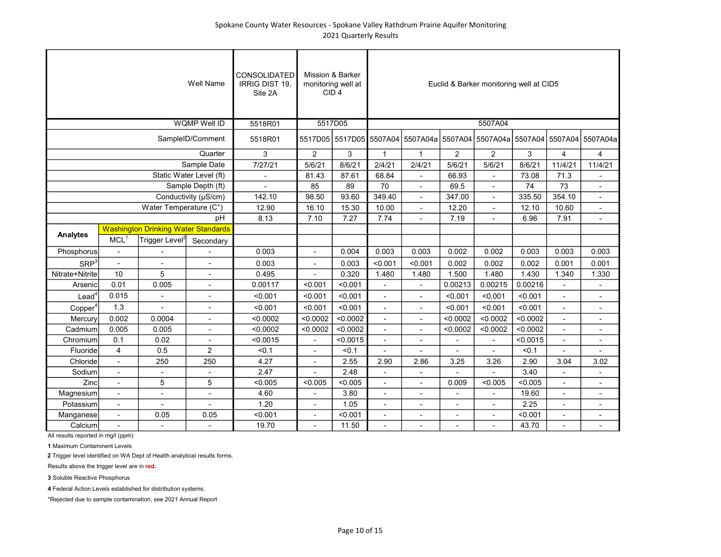## Spokane County Water Resources - Spokane Valley Rathdrum Prairie Aquifer Monitoring 2021 Quarterly Results

|                      |                          |                                            | <b>Well Name</b>         | <b>CONSOLIDATED</b><br>IRRIG DIST 19,<br>Site 2A |                          | Mission & Barker<br>monitoring well at<br>CID <sub>4</sub> |                          |                                  |                          | Euclid & Barker monitoring well at CID5 |          |                          |                                           |
|----------------------|--------------------------|--------------------------------------------|--------------------------|--------------------------------------------------|--------------------------|------------------------------------------------------------|--------------------------|----------------------------------|--------------------------|-----------------------------------------|----------|--------------------------|-------------------------------------------|
|                      |                          |                                            | <b>WQMP Well ID</b>      | 5518R01                                          |                          | 5517D05                                                    |                          |                                  |                          | 5507A04                                 |          |                          |                                           |
|                      |                          |                                            | SampleID/Comment         | 5518R01                                          |                          |                                                            |                          | 5517D05 5517D05 5507A04 5507A04a |                          |                                         |          |                          | 5507A04 5507A04a 5507A04 5507A04 5507A04a |
|                      |                          |                                            | Quarter                  | 3                                                | $\overline{2}$           | 3                                                          | $\mathbf{1}$             | $\mathbf{1}$                     | $\overline{2}$           | 2                                       | 3        | $\overline{4}$           | $\overline{4}$                            |
|                      |                          |                                            | Sample Date              | 7/27/21                                          | 5/6/21                   | 8/6/21                                                     | 2/4/21                   | 2/4/21                           | 5/6/21                   | 5/6/21                                  | 8/6/21   | 11/4/21                  | 11/4/21                                   |
|                      |                          |                                            | Static Water Level (ft)  | $\overline{a}$                                   | 81.43                    | 87.61                                                      | 68.84                    |                                  | 66.93                    | $\mathbf{r}$                            | 73.08    | 71.3                     | $\sim$                                    |
|                      |                          |                                            | Sample Depth (ft)        |                                                  | 85                       | 89                                                         | 70                       |                                  | 69.5                     | $\overline{a}$                          | 74       | 73                       | $\overline{a}$                            |
|                      |                          |                                            | Conductivity (µS/cm)     | 142.10                                           | 98.50                    | 93.60                                                      | 349.40                   |                                  | 347.00                   |                                         | 335.50   | 354.10                   | $\blacksquare$                            |
|                      |                          | Water Temperature (C°)                     |                          | 12.90                                            | 16.10                    | 15.30                                                      | 10.00                    |                                  | 12.20                    |                                         | 12.10    | 10.60                    |                                           |
|                      |                          |                                            | pH                       | 8.13                                             | 7.10                     | 7.27                                                       | 7.74                     |                                  | 7.19                     |                                         | 6.96     | 7.91                     |                                           |
| <b>Analytes</b>      |                          | <b>Washington Drinking Water Standards</b> |                          |                                                  |                          |                                                            |                          |                                  |                          |                                         |          |                          |                                           |
|                      | MCL <sup>1</sup>         | $ {\mathsf T}$ rigger Level $^2$           | Secondary                |                                                  |                          |                                                            |                          |                                  |                          |                                         |          |                          |                                           |
| Phosphorus           | $\blacksquare$           |                                            |                          | 0.003                                            | $\overline{\phantom{0}}$ | 0.004                                                      | 0.003                    | 0.003                            | 0.002                    | 0.002                                   | 0.003    | 0.003                    | 0.003                                     |
| SRP <sup>3</sup>     | $\overline{a}$           |                                            | $\overline{a}$           | 0.003                                            | L.                       | 0.003                                                      | < 0.001                  | < 0.001                          | 0.002                    | 0.002                                   | 0.002    | 0.001                    | 0.001                                     |
| Nitrate+Nitrite      | 10                       | 5                                          | $\overline{a}$           | 0.495                                            | $\overline{a}$           | 0.320                                                      | 1.480                    | 1.480                            | 1.500                    | 1.480                                   | 1.430    | 1.340                    | 1.330                                     |
| Arsenic              | 0.01                     | 0.005                                      |                          | 0.00117                                          | < 0.001                  | < 0.001                                                    |                          |                                  | 0.00213                  | 0.00215                                 | 0.00216  |                          |                                           |
| $L$ ead <sup>4</sup> | 0.015                    | $\overline{\phantom{a}}$                   | $\overline{\phantom{a}}$ | < 0.001                                          | < 0.001                  | < 0.001                                                    | $\blacksquare$           | $\overline{\phantom{a}}$         | < 0.001                  | < 0.001                                 | < 0.001  | ٠                        | $\overline{\phantom{a}}$                  |
| Copper <sup>4</sup>  | 1.3                      | $\overline{a}$                             | ä,                       | < 0.001                                          | < 0.001                  | < 0.001                                                    | $\blacksquare$           |                                  | < 0.001                  | < 0.001                                 | < 0.001  | $\overline{a}$           | ٠                                         |
| Mercury              | 0.002                    | 0.0004                                     | $\overline{\phantom{a}}$ | < 0.0002                                         | < 0.0002                 | < 0.0002                                                   | $\overline{\phantom{a}}$ | $\overline{\phantom{a}}$         | < 0.0002                 | < 0.0002                                | < 0.0002 | ÷,                       | ٠                                         |
| Cadmium              | 0.005                    | 0.005                                      | $\overline{a}$           | < 0.0002                                         | < 0.0002                 | < 0.0002                                                   | $\overline{a}$           |                                  | < 0.0002                 | < 0.0002                                | < 0.0002 | ÷,                       | $\overline{\phantom{a}}$                  |
| Chromium             | 0.1                      | 0.02                                       | $\overline{a}$           | < 0.0015                                         | $\overline{a}$           | < 0.0015                                                   | $\sim$                   | $\overline{\phantom{a}}$         |                          | $\overline{a}$                          | < 0.0015 | ä,                       | $\blacksquare$                            |
| Fluoride             | $\overline{4}$           | 0.5                                        | 2                        | < 0.1                                            | $\overline{a}$           | < 0.1                                                      | $\overline{a}$           |                                  |                          |                                         | < 0.1    |                          | $\overline{a}$                            |
| Chloride             | $\overline{a}$           | 250                                        | 250                      | 4.27                                             | $\overline{a}$           | 2.55                                                       | 2.90                     | 2.86                             | 3.25                     | 3.26                                    | 2.90     | 3.04                     | 3.02                                      |
| Sodium               |                          | $\blacksquare$                             |                          | 2.47                                             |                          | 2.48                                                       |                          |                                  |                          |                                         | 3.40     |                          | ٠                                         |
| Zinc                 |                          | 5                                          | 5                        | < 0.005                                          | < 0.005                  | < 0.005                                                    |                          |                                  | 0.009                    | < 0.005                                 | < 0.005  |                          | ٠                                         |
| Magnesium            | $\overline{\phantom{a}}$ | $\overline{\phantom{a}}$                   | $\overline{\phantom{a}}$ | 4.60                                             | $\overline{\phantom{m}}$ | 3.80                                                       | $\overline{\phantom{a}}$ | $\overline{\phantom{a}}$         | $\overline{\phantom{a}}$ | $\overline{\phantom{a}}$                | 19.60    | $\overline{\phantom{a}}$ | $\overline{\phantom{a}}$                  |
| Potassium            | $\overline{\phantom{a}}$ | $\overline{\phantom{a}}$                   | $\overline{\phantom{a}}$ | 1.20                                             | ٠                        | 1.05                                                       | $\overline{\phantom{a}}$ | $\blacksquare$                   | $\overline{a}$           | $\overline{\phantom{a}}$                | 2.25     | Ĭ.                       | $\overline{\phantom{a}}$                  |
| Manganese            | $\overline{\phantom{a}}$ | 0.05                                       | 0.05                     | < 0.001                                          | $\overline{\phantom{0}}$ | < 0.001                                                    | $\overline{\phantom{a}}$ | $\blacksquare$                   | $\overline{\phantom{a}}$ | $\overline{\phantom{a}}$                | < 0.001  | L,                       | $\overline{\phantom{a}}$                  |
| Calcium              | $\overline{a}$           | $\overline{a}$                             | $\overline{a}$           | 19.70                                            | $\overline{a}$           | 11.50                                                      | $\blacksquare$           |                                  |                          |                                         | 43.70    | $\overline{a}$           | $\overline{a}$                            |

All results reported in mg/l (ppm)

1 Maximum Contaminent Levels

2 Trigger level identified on WA Dept of Health analytical results forms.

Results above the trigger level are in red.

3 Soluble Reactive Phosphorus

4 Federal Action Levels established for distribution systems.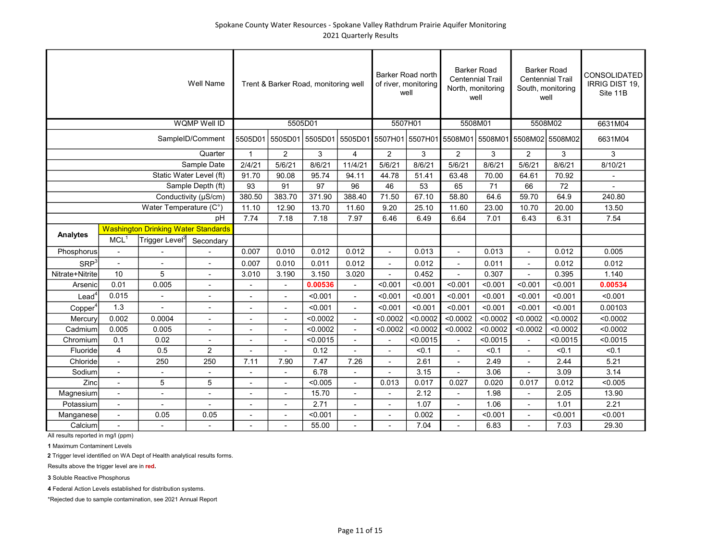|                     |                          |                                            | <b>Well Name</b>         |                |                          | Trent & Barker Road, monitoring well |                          | Barker Road north<br>of river, monitoring | well     | <b>Barker Road</b><br>North, monitoring | <b>Centennial Trail</b><br>well | <b>Barker Road</b><br><b>Centennial Trail</b><br>South, monitoring<br>well                        |          | <b>CONSOLIDATED</b><br>IRRIG DIST 19,<br>Site 11B |
|---------------------|--------------------------|--------------------------------------------|--------------------------|----------------|--------------------------|--------------------------------------|--------------------------|-------------------------------------------|----------|-----------------------------------------|---------------------------------|---------------------------------------------------------------------------------------------------|----------|---------------------------------------------------|
|                     |                          |                                            | <b>WQMP Well ID</b>      |                |                          | 5505D01                              |                          | 5507H01                                   |          | 5508M01                                 |                                 | 5508M02                                                                                           |          | 6631M04                                           |
|                     |                          |                                            | SampleID/Comment         |                |                          |                                      |                          |                                           |          |                                         |                                 | 5505D01   5505D01   5505D01   5505D01   5507H01   5507H01   5508M01   5508M01   5508M02   5508M02 |          | 6631M04                                           |
|                     |                          |                                            | Quarter                  | $\mathbf{1}$   | $\overline{2}$           | 3                                    | 4                        | $\overline{2}$                            | 3        | $\overline{2}$                          | 3                               | $\overline{2}$                                                                                    | 3        | 3                                                 |
|                     |                          |                                            | Sample Date              | 2/4/21         | 5/6/21                   | 8/6/21                               | 11/4/21                  | 5/6/21                                    | 8/6/21   | 5/6/21                                  | 8/6/21                          | 5/6/21                                                                                            | 8/6/21   | 8/10/21                                           |
|                     |                          |                                            | Static Water Level (ft)  | 91.70          | 90.08                    | 95.74                                | 94.11                    | 44.78                                     | 51.41    | 63.48                                   | 70.00                           | 64.61                                                                                             | 70.92    |                                                   |
|                     |                          |                                            | Sample Depth (ft)        | 93             | 91                       | 97                                   | 96                       | 46                                        | 53       | 65                                      | 71                              | 66                                                                                                | 72       |                                                   |
|                     |                          |                                            | Conductivity (µS/cm)     | 380.50         | 383.70                   | 371.90                               | 388.40                   | 71.50                                     | 67.10    | 58.80                                   | 64.6                            | 59.70                                                                                             | 64.9     | 240.80                                            |
|                     |                          | Water Temperature (C°)                     |                          | 11.10          | 12.90                    | 13.70                                | 11.60                    | 9.20                                      | 25.10    | 11.60                                   | 23.00                           | 10.70                                                                                             | 20.00    | 13.50                                             |
|                     |                          |                                            | pH                       | 7.74           | 7.18                     | 7.18                                 | 7.97                     | 6.46                                      | 6.49     | 6.64                                    | 7.01                            | 6.43                                                                                              | 6.31     | 7.54                                              |
| Analytes            |                          | <b>Washington Drinking Water Standards</b> |                          |                |                          |                                      |                          |                                           |          |                                         |                                 |                                                                                                   |          |                                                   |
|                     | MCL <sup>1</sup>         | Trigger Level <sup>2</sup>                 | Secondary                |                |                          |                                      |                          |                                           |          |                                         |                                 |                                                                                                   |          |                                                   |
| Phosphorus          | $\blacksquare$           |                                            |                          | 0.007          | 0.010                    | 0.012                                | 0.012                    | ٠                                         | 0.013    | $\overline{a}$                          | 0.013                           | $\overline{a}$                                                                                    | 0.012    | 0.005                                             |
| SRP <sup>3</sup>    | $\overline{a}$           |                                            |                          | 0.007          | 0.010                    | 0.011                                | 0.012                    |                                           | 0.012    |                                         | 0.011                           |                                                                                                   | 0.012    | 0.012                                             |
| Nitrate+Nitrite     | 10                       | 5                                          | $\overline{\phantom{a}}$ | 3.010          | 3.190                    | 3.150                                | 3.020                    |                                           | 0.452    |                                         | 0.307                           |                                                                                                   | 0.395    | 1.140                                             |
| Arsenic             | 0.01                     | 0.005                                      | $\overline{\phantom{a}}$ | $\overline{a}$ | $\blacksquare$           | 0.00536                              | $\overline{\phantom{a}}$ | < 0.001                                   | < 0.001  | < 0.001                                 | < 0.001                         | < 0.001                                                                                           | < 0.001  | 0.00534                                           |
| $\textsf{lead}^4$   | 0.015                    | $\overline{\phantom{a}}$                   | $\overline{\phantom{a}}$ |                | ٠                        | < 0.001                              | $\blacksquare$           | < 0.001                                   | < 0.001  | < 0.001                                 | < 0.001                         | < 0.001                                                                                           | < 0.001  | < 0.001                                           |
| Copper <sup>4</sup> | 1.3                      |                                            | ٠                        | $\blacksquare$ | $\overline{\phantom{a}}$ | < 0.001                              | $\blacksquare$           | < 0.001                                   | < 0.001  | < 0.001                                 | < 0.001                         | < 0.001                                                                                           | < 0.001  | 0.00103                                           |
| Mercury             | 0.002                    | 0.0004                                     | $\overline{a}$           | $\overline{a}$ | $\overline{a}$           | < 0.0002                             | $\mathbf{r}$             | < 0.0002                                  | < 0.0002 | < 0.0002                                | < 0.0002                        | < 0.0002                                                                                          | < 0.0002 | < 0.0002                                          |
| Cadmium             | 0.005                    | 0.005                                      | $\blacksquare$           | $\overline{a}$ | $\overline{a}$           | < 0.0002                             | $\overline{a}$           | < 0.0002                                  | < 0.0002 | < 0.0002                                | < 0.0002                        | < 0.0002                                                                                          | < 0.0002 | < 0.0002                                          |
| Chromium            | 0.1                      | 0.02                                       |                          |                |                          | < 0.0015                             |                          |                                           | < 0.0015 | $\overline{a}$                          | < 0.0015                        | $\overline{a}$                                                                                    | < 0.0015 | < 0.0015                                          |
| Fluoride            | 4                        | 0.5                                        | $\overline{2}$           |                |                          | 0.12                                 |                          |                                           | < 0.1    |                                         | < 0.1                           |                                                                                                   | < 0.1    | < 0.1                                             |
| Chloride            | $\overline{\phantom{a}}$ | 250                                        | 250                      | 7.11           | 7.90                     | 7.47                                 | 7.26                     | $\overline{\phantom{m}}$                  | 2.61     |                                         | 2.49                            | $\overline{\phantom{a}}$                                                                          | 2.44     | 5.21                                              |
| Sodium              | $\blacksquare$           | $\overline{\phantom{a}}$                   | $\overline{\phantom{a}}$ |                | $\overline{\phantom{a}}$ | 6.78                                 | ÷,                       | ÷,                                        | 3.15     |                                         | 3.06                            | ä,                                                                                                | 3.09     | 3.14                                              |
| Zinc                | $\blacksquare$           | 5                                          | 5                        | $\overline{a}$ | ٠                        | < 0.005                              | ÷,                       | 0.013                                     | 0.017    | 0.027                                   | 0.020                           | 0.017                                                                                             | 0.012    | < 0.005                                           |
| Magnesium           | $\sim$                   | $\blacksquare$                             | $\overline{a}$           | $\overline{a}$ | ä,                       | 15.70                                | ÷,                       |                                           | 2.12     | ÷,                                      | 1.98                            | ÷,                                                                                                | 2.05     | 13.90                                             |
| Potassium           | $\sim$                   |                                            |                          |                | $\overline{a}$           | 2.71                                 | $\blacksquare$           | $\blacksquare$                            | 1.07     | $\overline{a}$                          | 1.06                            | $\overline{a}$                                                                                    | 1.01     | 2.21                                              |
| Manganese           | $\blacksquare$           | 0.05                                       | 0.05                     | $\blacksquare$ | ٠                        | < 0.001                              | $\blacksquare$           | ٠                                         | 0.002    | $\blacksquare$                          | < 0.001                         | $\overline{a}$                                                                                    | < 0.001  | < 0.001                                           |
| Calcium             |                          |                                            | $\blacksquare$           |                | ٠                        | 55.00                                |                          |                                           | 7.04     |                                         | 6.83                            | ٠                                                                                                 | 7.03     | 29.30                                             |

1 Maximum Contaminent Levels

2 Trigger level identified on WA Dept of Health analytical results forms.

Results above the trigger level are in red.

3 Soluble Reactive Phosphorus

4 Federal Action Levels established for distribution systems.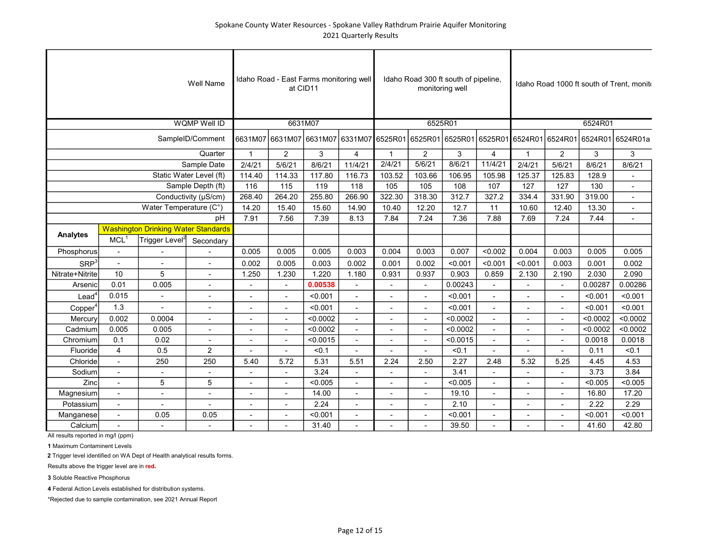|                     |                      |                                            | <b>Well Name</b>         |                          | Idaho Road - East Farms monitoring well | at CID11 |                                                                                 |                |                          | Idaho Road 300 ft south of pipeline,<br>monitoring well |                          |                |                |          | Idaho Road 1000 ft south of Trent. monite |
|---------------------|----------------------|--------------------------------------------|--------------------------|--------------------------|-----------------------------------------|----------|---------------------------------------------------------------------------------|----------------|--------------------------|---------------------------------------------------------|--------------------------|----------------|----------------|----------|-------------------------------------------|
|                     |                      |                                            | <b>WQMP Well ID</b>      |                          |                                         | 6631M07  |                                                                                 |                |                          | 6525R01                                                 |                          |                |                | 6524R01  |                                           |
|                     |                      |                                            | SampleID/Comment         |                          |                                         |          | 6631M07 6631M07 6631M07 6331M07 6525R01 6525R01 6525R01 6525R01 6524R01 6524R01 |                |                          |                                                         |                          |                |                |          | 6524R01 6524R01a                          |
|                     |                      |                                            | Quarter                  | $\overline{1}$           | $\overline{2}$                          | 3        | $\overline{4}$                                                                  | $\mathbf{1}$   | 2                        | 3                                                       | $\overline{\mathbf{4}}$  | $\mathbf{1}$   | $\overline{2}$ | 3        | 3                                         |
|                     |                      |                                            | Sample Date              | 2/4/21                   | 5/6/21                                  | 8/6/21   | 11/4/21                                                                         | 2/4/21         | 5/6/21                   | 8/6/21                                                  | 11/4/21                  | 2/4/21         | 5/6/21         | 8/6/21   | 8/6/21                                    |
|                     |                      |                                            | Static Water Level (ft)  | 114.40                   | 114.33                                  | 117.80   | 116.73                                                                          | 103.52         | 103.66                   | 106.95                                                  | 105.98                   | 125.37         | 125.83         | 128.9    |                                           |
|                     |                      |                                            | Sample Depth (ft)        | 116                      | 115                                     | 119      | 118                                                                             | 105            | 105                      | 108                                                     | 107                      | 127            | 127            | 130      | $\overline{a}$                            |
|                     |                      |                                            | Conductivity (µS/cm)     | 268.40                   | 264.20                                  | 255.80   | 266.90                                                                          | 322.30         | 318.30                   | 312.7                                                   | 327.2                    | 334.4          | 331.90         | 319.00   |                                           |
|                     |                      | Water Temperature (C°)                     |                          | 14.20                    | 15.40                                   | 15.60    | 14.90                                                                           | 10.40          | 12.20                    | 12.7                                                    | 11                       | 10.60          | 12.40          | 13.30    |                                           |
|                     |                      |                                            | pH                       | 7.91                     | 7.56                                    | 7.39     | 8.13                                                                            | 7.84           | 7.24                     | 7.36                                                    | 7.88                     | 7.69           | 7.24           | 7.44     |                                           |
| <b>Analytes</b>     |                      | <b>Washington Drinking Water Standards</b> |                          |                          |                                         |          |                                                                                 |                |                          |                                                         |                          |                |                |          |                                           |
|                     | MCL <sup>1</sup>     | Trigger Level <sup>2</sup>                 | Secondary                |                          |                                         |          |                                                                                 |                |                          |                                                         |                          |                |                |          |                                           |
| Phosphorus          | $\blacksquare$       |                                            |                          | 0.005                    | 0.005                                   | 0.005    | 0.003                                                                           | 0.004          | 0.003                    | 0.007                                                   | < 0.002                  | 0.004          | 0.003          | 0.005    | 0.005                                     |
| SRP <sup>3</sup>    | $\overline{a}$       |                                            |                          | 0.002                    | 0.005                                   | 0.003    | 0.002                                                                           | 0.001          | 0.002                    | < 0.001                                                 | < 0.001                  | < 0.001        | 0.003          | 0.001    | 0.002                                     |
| Nitrate+Nitrite     | 10                   | 5                                          |                          | 1.250                    | 1.230                                   | 1.220    | 1.180                                                                           | 0.931          | 0.937                    | 0.903                                                   | 0.859                    | 2.130          | 2.190          | 2.030    | 2.090                                     |
| Arsenic             | 0.01                 | 0.005                                      | $\blacksquare$           | $\blacksquare$           | $\blacksquare$                          | 0.00538  |                                                                                 |                |                          | 0.00243                                                 |                          |                |                | 0.00287  | 0.00286                                   |
| Lead <sup>4</sup>   | 0.015                | $\blacksquare$                             | $\blacksquare$           | $\blacksquare$           | $\blacksquare$                          | < 0.001  | $\mathbf{r}$                                                                    |                | $\overline{\phantom{a}}$ | < 0.001                                                 | $\blacksquare$           | ٠              | $\blacksquare$ | < 0.001  | < 0.001                                   |
| Copper <sup>4</sup> | 1.3                  |                                            | $\blacksquare$           | $\blacksquare$           | $\blacksquare$                          | < 0.001  | $\blacksquare$                                                                  |                |                          | < 0.001                                                 | $\overline{\phantom{a}}$ |                | ٠              | < 0.001  | < 0.001                                   |
| Mercury             | 0.002                | 0.0004                                     | $\overline{a}$           |                          | $\blacksquare$                          | < 0.0002 | $\blacksquare$                                                                  |                |                          | < 0.0002                                                | $\blacksquare$           |                | $\overline{a}$ | < 0.0002 | < 0.0002                                  |
| Cadmium             | 0.005                | 0.005                                      | $\overline{\phantom{a}}$ | $\overline{a}$           | $\overline{a}$                          | < 0.0002 | $\overline{a}$                                                                  |                |                          | < 0.0002                                                | $\overline{a}$           |                |                | < 0.0002 | < 0.0002                                  |
| Chromium            | 0.1                  | 0.02                                       | $\overline{a}$           | $\overline{a}$           | $\blacksquare$                          | < 0.0015 | $\overline{a}$                                                                  |                |                          | < 0.0015                                                | $\blacksquare$           |                |                | 0.0018   | 0.0018                                    |
| Fluoride            | 4                    | 0.5                                        | $\overline{2}$           |                          |                                         | < 0.1    |                                                                                 |                |                          | < 0.1                                                   |                          |                |                | 0.11     | < 0.1                                     |
| Chloride            |                      | 250                                        | 250                      | 5.40                     | 5.72                                    | 5.31     | 5.51                                                                            | 2.24           | 2.50                     | 2.27                                                    | 2.48                     | 5.32           | 5.25           | 4.45     | 4.53                                      |
| Sodium              | $\blacksquare$       | $\overline{\phantom{a}}$                   | $\blacksquare$           | $\overline{\phantom{a}}$ | $\overline{\phantom{a}}$                | 3.24     | $\overline{\phantom{a}}$                                                        | $\blacksquare$ |                          | 3.41                                                    |                          |                |                | 3.73     | 3.84                                      |
| Zinc                | $\blacksquare$       | 5                                          | 5                        | $\blacksquare$           | $\blacksquare$                          | < 0.005  | ä,                                                                              |                |                          | < 0.005                                                 | $\blacksquare$           | L,             | $\blacksquare$ | < 0.005  | < 0.005                                   |
| Magnesium           | $\sim$               | $\overline{\phantom{a}}$                   | $\overline{a}$           | $\blacksquare$           | $\sim$                                  | 14.00    | ÷,                                                                              |                |                          | 19.10                                                   | $\overline{a}$           | $\overline{a}$ | $\overline{a}$ | 16.80    | 17.20                                     |
| Potassium           | $\ddot{\phantom{a}}$ | $\overline{a}$                             | $\overline{a}$           | $\blacksquare$           | $\overline{a}$                          | 2.24     | $\overline{\phantom{a}}$                                                        |                |                          | 2.10                                                    | $\overline{a}$           |                |                | 2.22     | 2.29                                      |
| Manganese           | $\blacksquare$       | 0.05                                       | 0.05                     | $\blacksquare$           | $\overline{a}$                          | < 0.001  | $\blacksquare$                                                                  |                |                          | < 0.001                                                 | $\overline{a}$           |                |                | < 0.001  | < 0.001                                   |
| Calcium             |                      |                                            |                          |                          |                                         | 31.40    |                                                                                 |                |                          | 39.50                                                   |                          |                |                | 41.60    | 42.80                                     |

1 Maximum Contaminent Levels

2 Trigger level identified on WA Dept of Health analytical results forms.

Results above the trigger level are in red.

3 Soluble Reactive Phosphorus

4 Federal Action Levels established for distribution systems.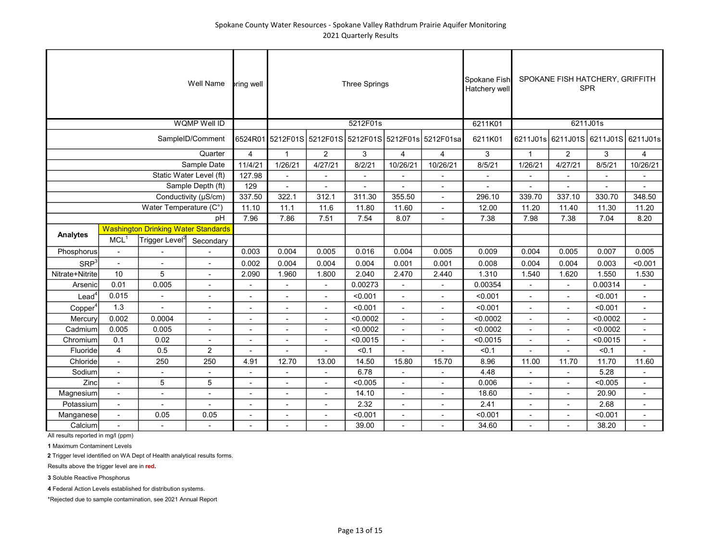|                     | <b>bring well</b>        |                                            |                          | <b>Three Springs</b>     |                          |                                                      | Spokane Fish<br>Hatchery well | SPOKANE FISH HATCHERY, GRIFFITH<br><b>SPR</b> |                                     |          |                          |                          |          |                              |
|---------------------|--------------------------|--------------------------------------------|--------------------------|--------------------------|--------------------------|------------------------------------------------------|-------------------------------|-----------------------------------------------|-------------------------------------|----------|--------------------------|--------------------------|----------|------------------------------|
|                     |                          |                                            |                          | 5212F01s                 |                          |                                                      | 6211K01                       | 6211J01s                                      |                                     |          |                          |                          |          |                              |
|                     |                          |                                            |                          |                          |                          | 6524R01 5212F01S 5212F01S 5212F01S 5212F01s 5212F01s | 6211K01                       |                                               | 6211J01s 6211J01S 6211J01S 6211J01s |          |                          |                          |          |                              |
|                     | $\overline{4}$           | $\mathbf{1}$                               | $\overline{2}$           | 3                        | $\overline{4}$           | 4                                                    | 3                             | $\mathbf{1}$                                  | $\overline{2}$                      | 3        | $\overline{4}$           |                          |          |                              |
| Sample Date         |                          |                                            |                          | 11/4/21                  | 1/26/21                  | 4/27/21                                              | 8/2/21                        | 10/26/21                                      | 10/26/21                            | 8/5/21   | 1/26/21                  | 4/27/21                  | 8/5/21   | 10/26/21                     |
|                     | 127.98                   | $\blacksquare$                             |                          | $\blacksquare$           | $\overline{\phantom{a}}$ |                                                      |                               |                                               | $\overline{\phantom{m}}$            |          |                          |                          |          |                              |
|                     | 129                      |                                            |                          |                          |                          | $\overline{a}$                                       |                               |                                               |                                     |          |                          |                          |          |                              |
|                     | 337.50                   | 322.1                                      | 312.1                    | 311.30                   | 355.50                   | $\overline{a}$                                       | 296.10                        | 339.70                                        | 337.10                              | 330.70   | 348.50                   |                          |          |                              |
|                     | 11.10                    | 11.1                                       | 11.6                     | 11.80                    | 11.60                    | $\overline{\phantom{0}}$                             | 12.00                         | 11.20                                         | 11.40                               | 11.30    | 11.20                    |                          |          |                              |
| pH                  |                          |                                            |                          | 7.96                     | 7.86                     | 7.51                                                 | 7.54                          | 8.07                                          | $\overline{\phantom{0}}$            | 7.38     | 7.98                     | 7.38                     | 7.04     | 8.20                         |
| <b>Analytes</b>     |                          | <b>Washington Drinking Water Standards</b> |                          |                          |                          |                                                      |                               |                                               |                                     |          |                          |                          |          |                              |
|                     | MCL <sup>1</sup>         | Trigger Level <sup>2</sup>                 | Secondary                |                          |                          |                                                      |                               |                                               |                                     |          |                          |                          |          |                              |
| Phosphorus          | $\blacksquare$           |                                            |                          | 0.003                    | 0.004                    | 0.005                                                | 0.016                         | 0.004                                         | 0.005                               | 0.009    | 0.004                    | 0.005                    | 0.007    | 0.005                        |
| SRP <sup>3</sup>    | $\overline{a}$           |                                            | $\overline{a}$           | 0.002                    | 0.004                    | 0.004                                                | 0.004                         | 0.001                                         | 0.001                               | 0.008    | 0.004                    | 0.004                    | 0.003    | < 0.001                      |
| Nitrate+Nitrite     | 10                       | 5                                          |                          | 2.090                    | 1.960                    | 1.800                                                | 2.040                         | 2.470                                         | 2.440                               | 1.310    | 1.540                    | 1.620                    | 1.550    | 1.530                        |
| Arsenic             | 0.01                     | 0.005                                      | $\overline{\phantom{a}}$ |                          |                          |                                                      | 0.00273                       |                                               | $\overline{\phantom{a}}$            | 0.00354  |                          |                          | 0.00314  | $\qquad \qquad \blacksquare$ |
| Lead <sup>4</sup>   | 0.015                    | ÷,                                         | $\overline{a}$           | ٠                        | $\blacksquare$           | $\overline{\phantom{a}}$                             | < 0.001                       | $\blacksquare$                                | ٠                                   | < 0.001  | ٠                        | $\blacksquare$           | < 0.001  | $\blacksquare$               |
| Copper <sup>4</sup> | 1.3                      | $\overline{\phantom{a}}$                   | $\blacksquare$           | ٠                        |                          |                                                      | < 0.001                       | ÷,                                            | $\overline{\phantom{a}}$            | < 0.001  | ٠                        | $\overline{\phantom{a}}$ | < 0.001  | $\overline{\phantom{a}}$     |
| Mercury             | 0.002                    | 0.0004                                     | $\overline{a}$           | $\blacksquare$           |                          | $\sim$                                               | < 0.0002                      | $\overline{a}$                                | $\blacksquare$                      | < 0.0002 | $\blacksquare$           | $\blacksquare$           | < 0.0002 | $\mathbf{r}$                 |
| Cadmium             | 0.005                    | 0.005                                      | $\overline{a}$           | $\overline{a}$           | $\overline{a}$           | $\overline{a}$                                       | < 0.0002                      | $\overline{a}$                                | $\overline{a}$                      | < 0.0002 | $\overline{\phantom{a}}$ | $\overline{a}$           | < 0.0002 | $\overline{a}$               |
| Chromium            | 0.1                      | 0.02                                       |                          | $\overline{a}$           |                          |                                                      | < 0.0015                      | $\overline{a}$                                | $\overline{a}$                      | < 0.0015 |                          | $\overline{a}$           | < 0.0015 | $\overline{a}$               |
| Fluoride            | $\overline{4}$           | 0.5                                        | $\overline{c}$           |                          |                          |                                                      | < 0.1                         |                                               |                                     | < 0.1    |                          |                          | < 0.1    |                              |
| Chloride            |                          | 250                                        | 250                      | 4.91                     | 12.70                    | 13.00                                                | 14.50                         | 15.80                                         | 15.70                               | 8.96     | 11.00                    | 11.70                    | 11.70    | 11.60                        |
| Sodium              | $\overline{\phantom{a}}$ | $\overline{\phantom{a}}$                   | $\overline{\phantom{a}}$ | $\overline{\phantom{a}}$ |                          | $\blacksquare$                                       | 6.78                          | $\blacksquare$                                | $\overline{\phantom{a}}$            | 4.48     | $\overline{\phantom{a}}$ |                          | 5.28     | $\overline{\phantom{a}}$     |
| Zinc                | $\overline{\phantom{a}}$ | 5                                          | 5                        | $\blacksquare$           | $\blacksquare$           | $\overline{\phantom{a}}$                             | < 0.005                       | $\overline{\phantom{a}}$                      | $\overline{\phantom{a}}$            | 0.006    | $\blacksquare$           | $\overline{\phantom{a}}$ | < 0.005  | $\overline{\phantom{a}}$     |
| Magnesium           | ÷,                       | $\overline{\phantom{a}}$                   | ä,                       | ä,                       | $\mathbf{r}$             | $\blacksquare$                                       | 14.10                         | ÷,                                            | $\blacksquare$                      | 18.60    | ä,                       | $\blacksquare$           | 20.90    | ä,                           |
| Potassium           | $\blacksquare$           | $\overline{\phantom{a}}$                   | $\overline{a}$           | Ĭ.                       | $\blacksquare$           |                                                      | 2.32                          | ä,                                            | $\overline{\phantom{0}}$            | 2.41     | ٠                        | $\blacksquare$           | 2.68     | ä,                           |
| Manganese           | $\blacksquare$           | 0.05                                       | 0.05                     | ÷,                       | $\overline{a}$           |                                                      | < 0.001                       | $\overline{a}$                                | $\overline{a}$                      | < 0.001  |                          | $\overline{a}$           | < 0.001  | $\mathbf{r}$                 |
| Calcium             |                          |                                            |                          |                          |                          |                                                      | 39.00                         |                                               |                                     | 34.60    |                          |                          | 38.20    |                              |

1 Maximum Contaminent Levels

2 Trigger level identified on WA Dept of Health analytical results forms.

Results above the trigger level are in red.

3 Soluble Reactive Phosphorus

4 Federal Action Levels established for distribution systems.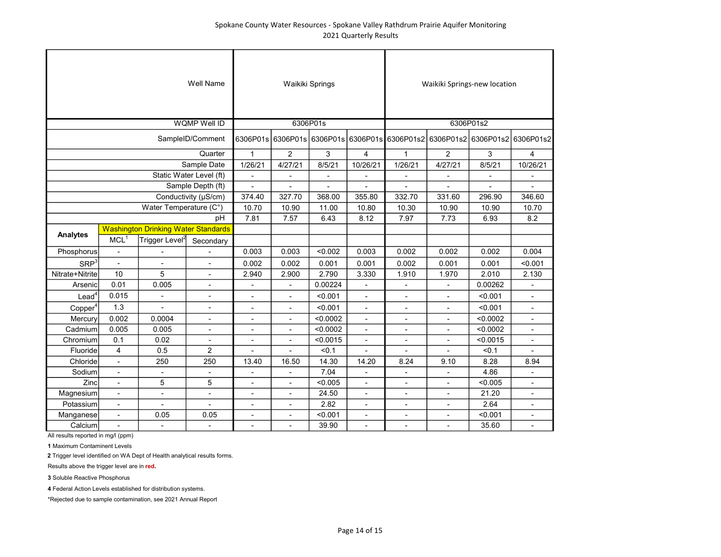|                     |                                                                        |                                            | <b>Well Name</b>         |                          | Waikiki Springs          |                          |                                                          | Waikiki Springs-new location |                          |                          |                          |  |  |
|---------------------|------------------------------------------------------------------------|--------------------------------------------|--------------------------|--------------------------|--------------------------|--------------------------|----------------------------------------------------------|------------------------------|--------------------------|--------------------------|--------------------------|--|--|
|                     |                                                                        |                                            | <b>WQMP Well ID</b>      |                          | 6306P01s                 |                          |                                                          | 6306P01s2                    |                          |                          |                          |  |  |
|                     | 6306P01s                                                               |                                            |                          |                          |                          |                          | 6306P01s 6306P01s 6306P01s 6306P01s2 6306P01s2 6306P01s2 | 6306P01s2                    |                          |                          |                          |  |  |
|                     | $\mathbf{1}$                                                           | $\overline{2}$                             | 3                        | 4                        | 1                        | $\overline{2}$           | 3                                                        | 4                            |                          |                          |                          |  |  |
|                     |                                                                        |                                            | Sample Date              | 1/26/21                  | 4/27/21                  | 8/5/21                   | 10/26/21                                                 | 1/26/21                      | 4/27/21                  | 8/5/21                   | 10/26/21                 |  |  |
|                     |                                                                        |                                            | Static Water Level (ft)  | $\overline{\phantom{a}}$ |                          |                          |                                                          |                              |                          |                          |                          |  |  |
|                     |                                                                        |                                            | Sample Depth (ft)        | $\overline{a}$           |                          |                          |                                                          |                              |                          |                          |                          |  |  |
|                     |                                                                        |                                            | Conductivity (µS/cm)     | 374.40                   | 327.70                   | 368.00                   | 355.80                                                   | 332.70                       | 331.60                   | 296.90                   | 346.60                   |  |  |
|                     |                                                                        | Water Temperature (C°)                     |                          | 10.70                    | 10.90                    | 11.00                    | 10.80                                                    | 10.30                        | 10.90                    | 10.90                    | 10.70                    |  |  |
|                     |                                                                        |                                            | pH                       | 7.81                     | 7.57                     | 6.43                     | 8.12                                                     | 7.97                         | 7.73                     | 6.93                     | 8.2                      |  |  |
|                     |                                                                        | <b>Washington Drinking Water Standards</b> |                          |                          |                          |                          |                                                          |                              |                          |                          |                          |  |  |
| Analytes            | MCL <sup>1</sup>                                                       | Trigger Level <sup>2</sup>                 | Secondary                |                          |                          |                          |                                                          |                              |                          |                          |                          |  |  |
| Phosphorus          | Ĭ.                                                                     |                                            |                          | 0.003                    | 0.003                    | < 0.002                  | 0.003                                                    | 0.002                        | 0.002                    | 0.002                    | 0.004                    |  |  |
| SRP <sup>3</sup>    | $\blacksquare$                                                         | ÷,                                         | $\overline{\phantom{a}}$ | 0.002                    | 0.002                    | 0.001                    | 0.001                                                    | 0.002                        | 0.001                    | 0.001                    | < 0.001                  |  |  |
| Nitrate+Nitrite     | 10                                                                     | 5                                          | $\overline{a}$           | 2.940                    | 2.900                    | 2.790                    | 3.330                                                    | 1.910                        | 1.970                    | 2.010                    | 2.130                    |  |  |
| Arsenic             | 0.01                                                                   | 0.005                                      | $\blacksquare$           |                          |                          | 0.00224                  |                                                          |                              |                          | 0.00262                  |                          |  |  |
| $\textsf{lead}^4$   | 0.015                                                                  | $\overline{\phantom{a}}$                   | $\overline{\phantom{a}}$ | $\overline{\phantom{a}}$ | $\overline{\phantom{a}}$ | < 0.001                  | $\overline{\phantom{a}}$                                 | $\overline{\phantom{a}}$     | Ĭ.                       | < 0.001                  | $\overline{\phantom{a}}$ |  |  |
| Copper <sup>4</sup> | 1.3                                                                    | $\overline{a}$                             | $\blacksquare$           | $\overline{\phantom{a}}$ | $\overline{\phantom{a}}$ | < 0.001                  | L.                                                       | $\blacksquare$               | Ĭ.                       | < 0.001                  |                          |  |  |
| Mercury             | 0.002                                                                  | 0.0004                                     |                          |                          | $\overline{\phantom{a}}$ | < 0.0002                 | $\overline{\phantom{0}}$                                 |                              | ÷,                       | < 0.0002                 |                          |  |  |
| Cadmium             | 0.005                                                                  | 0.005                                      | $\overline{\phantom{a}}$ | $\overline{a}$           | L,                       | < 0.0002                 | $\blacksquare$                                           | $\overline{a}$               | $\overline{a}$           | < 0.0002                 |                          |  |  |
| Chromium            | 0.1                                                                    | 0.02                                       | $\blacksquare$           | $\overline{a}$           | $\overline{a}$           | < 0.0015                 | $\overline{\phantom{a}}$                                 | $\overline{a}$               | $\overline{a}$           | < 0.0015                 |                          |  |  |
| Fluoride            | $\overline{4}$                                                         | 0.5<br>$\overline{2}$                      |                          |                          |                          | < 0.1                    |                                                          |                              |                          | < 0.1                    |                          |  |  |
| Chloride            |                                                                        | 250                                        | 250                      | 13.40                    | 16.50                    | 14.30                    | 14.20                                                    | 8.24                         | 9.10                     | 8.28                     | 8.94                     |  |  |
| Sodium              | $\overline{\phantom{a}}$                                               | ÷,                                         | $\blacksquare$           | $\overline{\phantom{a}}$ | $\overline{a}$           | 7.04                     | $\overline{\phantom{a}}$                                 | $\overline{\phantom{a}}$     | $\overline{\phantom{a}}$ | 4.86                     |                          |  |  |
| Zinc                | 5<br>5<br>$\overline{\phantom{a}}$                                     |                                            | $\blacksquare$           | $\overline{\phantom{a}}$ | < 0.005                  | $\blacksquare$           | $\overline{a}$                                           | $\blacksquare$               | < 0.005                  | $\sim$                   |                          |  |  |
| Magnesium           | $\overline{\phantom{a}}$<br>$\overline{\phantom{0}}$<br>$\blacksquare$ |                                            | $\overline{a}$           | $\blacksquare$           | 24.50                    | $\overline{\phantom{0}}$ | $\blacksquare$                                           | ä,                           | 21.20                    | $\overline{\phantom{a}}$ |                          |  |  |
| Potassium           | Ĭ.                                                                     | $\overline{a}$                             | $\overline{a}$           | $\blacksquare$           | ۰                        | 2.82                     | $\overline{\phantom{a}}$                                 | $\overline{\phantom{a}}$     | ä,                       | 2.64                     |                          |  |  |
| Manganese           | 0.05<br>0.05<br>$\blacksquare$                                         |                                            |                          | $\overline{\phantom{a}}$ | ٠                        | < 0.001                  | $\blacksquare$                                           | $\blacksquare$               | Ĭ.                       | < 0.001                  |                          |  |  |
| Calcium             |                                                                        |                                            |                          | $\overline{a}$           |                          | 39.90                    |                                                          |                              |                          | 35.60                    |                          |  |  |

1 Maximum Contaminent Levels

2 Trigger level identified on WA Dept of Health analytical results forms.

Results above the trigger level are in red.

3 Soluble Reactive Phosphorus

4 Federal Action Levels established for distribution systems.